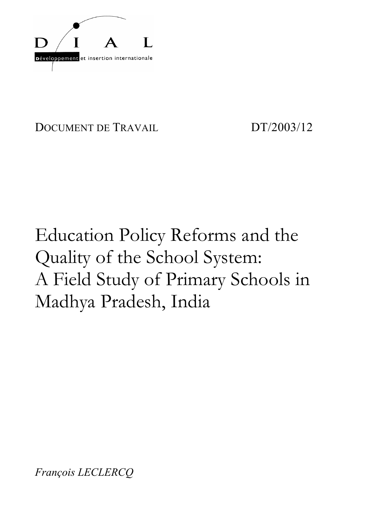

DOCUMENT DE TRAVAIL DT/2003/12

# Education Policy Reforms and the Quality of the School System: A Field Study of Primary Schools in Madhya Pradesh, India

*François LECLERCQ*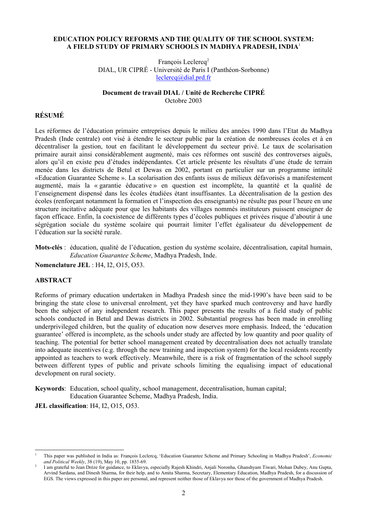#### **EDUCATION POLICY REFORMS AND THE QUALITY OF THE SCHOOL SYSTEM: A FIELD STUDY OF PRIMARY SCHOOLS IN MADHYA PRADESH, INDIA**<sup>1</sup>

François Leclercq<sup>2</sup> DIAL, UR CIPRÉ - Université de Paris I (Panthéon-Sorbonne) leclercq@dial.prd.fr

#### **Document de travail DIAL / Unité de Recherche CIPRÉ** Octobre 2003

# **RÉSUMÉ**

Les réformes de l'éducation primaire entreprises depuis le milieu des années 1990 dans l'Etat du Madhya Pradesh (Inde centrale) ont visé à étendre le secteur public par la création de nombreuses écoles et à en décentraliser la gestion, tout en facilitant le développement du secteur privé. Le taux de scolarisation primaire aurait ainsi considérablement augmenté, mais ces réformes ont suscité des controverses aiguës, alors qu'il en existe peu d'études indépendantes. Cet article présente les résultats d'une étude de terrain menée dans les districts de Betul et Dewas en 2002, portant en particulier sur un programme intitulé «Education Guarantee Scheme ». La scolarisation des enfants issus de milieux défavorisés a manifestement augmenté, mais la « garantie éducative » en question est incomplète, la quantité et la qualité de l'enseignement dispensé dans les écoles étudiées étant insuffisantes. La décentralisation de la gestion des écoles (renforçant notamment la formation et l'inspection des enseignants) ne résulte pas pour l'heure en une structure incitative adéquate pour que les habitants des villages nommés instituteurs puissent enseigner de façon efficace. Enfin, la coexistence de différents types d'écoles publiques et privées risque d'aboutir à une ségrégation sociale du système scolaire qui pourrait limiter l'effet égalisateur du développement de l'éducation sur la société rurale.

**Mots-clés** : éducation, qualité de l'éducation, gestion du système scolaire, décentralisation, capital humain, *Education Guarantee Scheme*, Madhya Pradesh, Inde.

**Nomenclature JEL** : H4, I2, O15, O53.

#### **ABSTRACT**

 $\overline{\phantom{a}}$ 

Reforms of primary education undertaken in Madhya Pradesh since the mid-1990's have been said to be bringing the state close to universal enrolment, yet they have sparked much controversy and have hardly been the subject of any independent research. This paper presents the results of a field study of public schools conducted in Betul and Dewas districts in 2002. Substantial progress has been made in enrolling underprivileged children, but the quality of education now deserves more emphasis. Indeed, the 'education guarantee' offered is incomplete, as the schools under study are affected by low quantity and poor quality of teaching. The potential for better school management created by decentralisation does not actually translate into adequate incentives (e.g. through the new training and inspection system) for the local residents recently appointed as teachers to work effectively. Meanwhile, there is a risk of fragmentation of the school supply between different types of public and private schools limiting the equalising impact of educational development on rural society.

**Keywords**: Education, school quality, school management, decentralisation, human capital; Education Guarantee Scheme, Madhya Pradesh, India.

**JEL classification**: H4, I2, O15, O53.

<sup>1</sup> This paper was published in India as: François Leclercq, 'Education Guarantee Scheme and Primary Schooling in Madhya Pradesh', *Economic and Political Weekly*, 38 (19), May 10, pp. 1855-69. 2

I am grateful to Jean Drèze for guidance, to Eklavya, especially Rajesh Khindri, Anjali Noronha, Ghanshyam Tiwari, Mohan Dubey, Anu Gupta, Arvind Sardana, and Dinesh Sharma, for their help, and to Amita Sharma, Secretary, Elementary Education, Madhya Pradesh, for a discussion of EGS. The views expressed in this paper are personal, and represent neither those of Eklavya nor those of the government of Madhya Pradesh.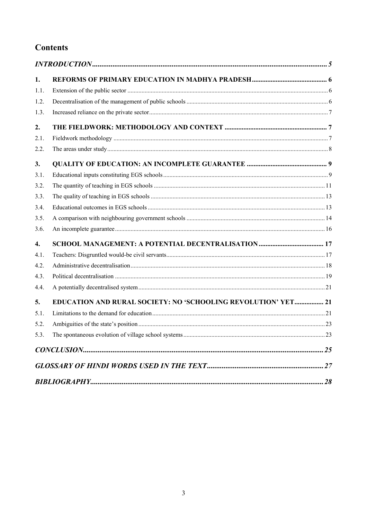# **Contents**

| 1.   |                                                               |     |
|------|---------------------------------------------------------------|-----|
| 1.1. |                                                               |     |
| 1.2. |                                                               |     |
| 1.3. |                                                               |     |
| 2.   |                                                               |     |
| 2.1. |                                                               |     |
| 2.2. |                                                               |     |
| 3.   |                                                               |     |
| 3.1. |                                                               |     |
| 3.2. |                                                               |     |
| 3.3. |                                                               |     |
| 3.4. |                                                               |     |
| 3.5. |                                                               |     |
| 3.6. |                                                               |     |
| 4.   |                                                               |     |
| 4.1. |                                                               |     |
| 4.2. |                                                               |     |
| 4.3. |                                                               |     |
| 4.4. |                                                               |     |
| 5.   | EDUCATION AND RURAL SOCIETY: NO 'SCHOOLING REVOLUTION' YET 21 |     |
| 5.1. |                                                               |     |
| 5.2. |                                                               |     |
| 5.3. |                                                               | .23 |
|      |                                                               |     |
|      |                                                               |     |
|      |                                                               |     |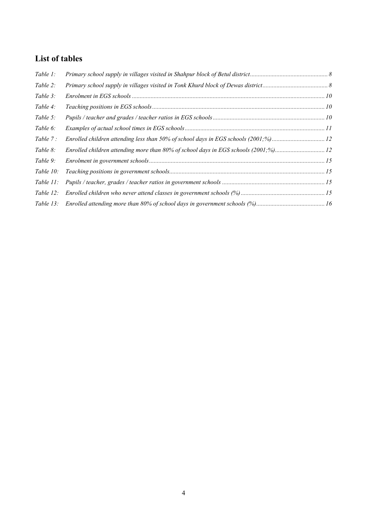# **List of tables**

| Table 1:     |                                                                                    |  |
|--------------|------------------------------------------------------------------------------------|--|
| Table 2:     |                                                                                    |  |
| Table 3:     |                                                                                    |  |
| Table 4:     |                                                                                    |  |
| Table 5:     |                                                                                    |  |
| Table 6:     |                                                                                    |  |
| Table 7:     |                                                                                    |  |
| Table 8:     | Enrolled children attending more than 80% of school days in EGS schools (2001;%)12 |  |
| Table 9:     |                                                                                    |  |
| Table $10$ : |                                                                                    |  |
| Table $11$ : |                                                                                    |  |
| Table $12$ : |                                                                                    |  |
|              |                                                                                    |  |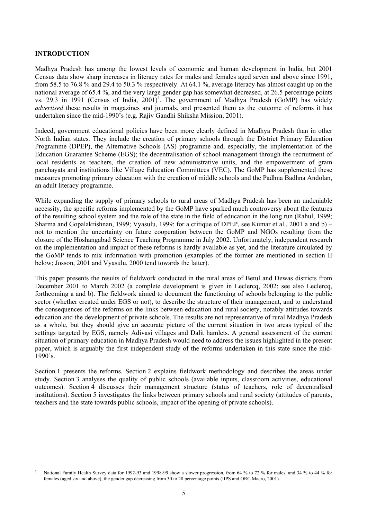#### **INTRODUCTION**

Madhya Pradesh has among the lowest levels of economic and human development in India, but 2001 Census data show sharp increases in literacy rates for males and females aged seven and above since 1991, from 58.5 to 76.8 % and 29.4 to 50.3 % respectively. At 64.1 %, average literacy has almost caught up on the national average of 65.4 %, and the very large gender gap has somewhat decreased, at 26.5 percentage points vs. 29.3 in 1991 (Census of India, 2001)<sup>3</sup>. The government of Madhya Pradesh (GoMP) has widely *advertised* these results in magazines and journals, and presented them as the outcome of reforms it has undertaken since the mid-1990's (e.g. Rajiv Gandhi Shiksha Mission, 2001).

Indeed, government educational policies have been more clearly defined in Madhya Pradesh than in other North Indian states. They include the creation of primary schools through the District Primary Education Programme (DPEP), the Alternative Schools (AS) programme and, especially, the implementation of the Education Guarantee Scheme (EGS); the decentralisation of school management through the recruitment of local residents as teachers, the creation of new administrative units, and the empowerment of gram panchayats and institutions like Village Education Committees (VEC). The GoMP has supplemented these measures promoting primary education with the creation of middle schools and the Padhna Badhna Andolan, an adult literacy programme.

While expanding the supply of primary schools to rural areas of Madhya Pradesh has been an undeniable necessity, the specific reforms implemented by the GoMP have sparked much controversy about the features of the resulting school system and the role of the state in the field of education in the long run (Rahul, 1999; Sharma and Gopalakrishnan, 1999; Vyasulu, 1999; for a critique of DPEP, see Kumar et al., 2001 a and b) – not to mention the uncertainty on future cooperation between the GoMP and NGOs resulting from the closure of the Hoshangabad Science Teaching Programme in July 2002. Unfortunately, independent research on the implementation and impact of these reforms is hardly available as yet, and the literature circulated by the GoMP tends to mix information with promotion (examples of the former are mentioned in section II below; Josson, 2001 and Vyasulu, 2000 tend towards the latter).

This paper presents the results of fieldwork conducted in the rural areas of Betul and Dewas districts from December 2001 to March 2002 (a complete development is given in Leclercq, 2002; see also Leclercq, forthcoming a and b). The fieldwork aimed to document the functioning of schools belonging to the public sector (whether created under EGS or not), to describe the structure of their management, and to understand the consequences of the reforms on the links between education and rural society, notably attitudes towards education and the development of private schools. The results are not representative of rural Madhya Pradesh as a whole, but they should give an accurate picture of the current situation in two areas typical of the settings targeted by EGS, namely Adivasi villages and Dalit hamlets. A general assessment of the current situation of primary education in Madhya Pradesh would need to address the issues highlighted in the present paper, which is arguably the first independent study of the reforms undertaken in this state since the mid-1990's.

Section 1 presents the reforms. Section 2 explains fieldwork methodology and describes the areas under study. Section 3 analyses the quality of public schools (available inputs, classroom activities, educational outcomes). Section 4 discusses their management structure (status of teachers, role of decentralised institutions). Section 5 investigates the links between primary schools and rural society (attitudes of parents, teachers and the state towards public schools, impact of the opening of private schools).

l 3 National Family Health Survey data for 1992-93 and 1998-99 show a slower progression, from 64 % to 72 % for males, and 34 % to 44 % for females (aged six and above), the gender gap decreasing from 30 to 28 percentage points (IIPS and ORC Macro, 2001).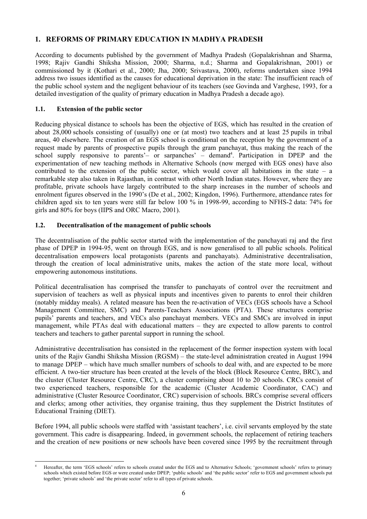# **1. REFORMS OF PRIMARY EDUCATION IN MADHYA PRADESH**

According to documents published by the government of Madhya Pradesh (Gopalakrishnan and Sharma, 1998; Rajiv Gandhi Shiksha Mission, 2000; Sharma, n.d.; Sharma and Gopalakrishnan, 2001) or commissioned by it (Kothari et al., 2000; Jha, 2000; Srivastava, 2000), reforms undertaken since 1994 address two issues identified as the causes for educational deprivation in the state: The insufficient reach of the public school system and the negligent behaviour of its teachers (see Govinda and Varghese, 1993, for a detailed investigation of the quality of primary education in Madhya Pradesh a decade ago).

# **1.1. Extension of the public sector**

Reducing physical distance to schools has been the objective of EGS, which has resulted in the creation of about 28,000 schools consisting of (usually) one or (at most) two teachers and at least 25 pupils in tribal areas, 40 elsewhere. The creation of an EGS school is conditional on the reception by the government of a request made by parents of prospective pupils through the gram panchayat, thus making the reach of the school supply responsive to parents'- or sarpanches' - demand<sup>4</sup>. Participation in DPEP and the experimentation of new teaching methods in Alternative Schools (now merged with EGS ones) have also contributed to the extension of the public sector, which would cover all habitations in the state  $-$  a remarkable step also taken in Rajasthan, in contrast with other North Indian states. However, where they are profitable, private schools have largely contributed to the sharp increases in the number of schools and enrolment figures observed in the 1990's (De et al., 2002; Kingdon, 1996). Furthermore, attendance rates for children aged six to ten years were still far below 100 % in 1998-99, according to NFHS-2 data: 74% for girls and 80% for boys (IIPS and ORC Macro, 2001).

# **1.2. Decentralisation of the management of public schools**

The decentralisation of the public sector started with the implementation of the panchayati raj and the first phase of DPEP in 1994-95, went on through EGS, and is now generalised to all public schools. Political decentralisation empowers local protagonists (parents and panchayats). Administrative decentralisation, through the creation of local administrative units, makes the action of the state more local, without empowering autonomous institutions.

Political decentralisation has comprised the transfer to panchayats of control over the recruitment and supervision of teachers as well as physical inputs and incentives given to parents to enrol their children (notably midday meals). A related measure has been the re-activation of VECs (EGS schools have a School Management Committee, SMC) and Parents-Teachers Associations (PTA). These structures comprise pupils' parents and teachers, and VECs also panchayat members. VECs and SMCs are involved in input management, while PTAs deal with educational matters – they are expected to allow parents to control teachers and teachers to gather parental support in running the school.

Administrative decentralisation has consisted in the replacement of the former inspection system with local units of the Rajiv Gandhi Shiksha Mission (RGSM) – the state-level administration created in August 1994 to manage DPEP – which have much smaller numbers of schools to deal with, and are expected to be more efficient. A two-tier structure has been created at the levels of the block (Block Resource Centre, BRC), and the cluster (Cluster Resource Centre, CRC), a cluster comprising about 10 to 20 schools. CRCs consist of two experienced teachers, responsible for the academic (Cluster Academic Coordinator, CAC) and administrative (Cluster Resource Coordinator, CRC) supervision of schools. BRCs comprise several officers and clerks; among other activities, they organise training, thus they supplement the District Institutes of Educational Training (DIET).

Before 1994, all public schools were staffed with 'assistant teachers', i.e. civil servants employed by the state government. This cadre is disappearing. Indeed, in government schools, the replacement of retiring teachers and the creation of new positions or new schools have been covered since 1995 by the recruitment through

l 4 Hereafter, the term 'EGS schools' refers to schools created under the EGS and to Alternative Schools; 'government schools' refers to primary schools which existed before EGS or were created under DPEP; 'public schools' and 'the public sector' refer to EGS and government schools put together; 'private schools' and 'the private sector' refer to all types of private schools.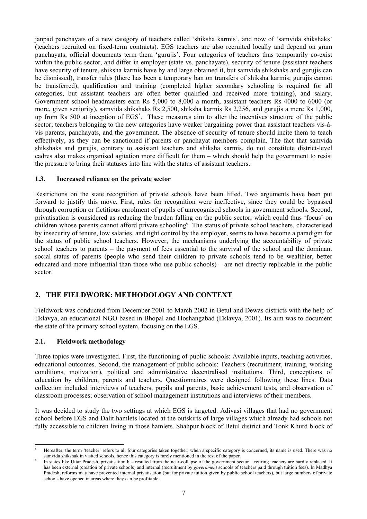janpad panchayats of a new category of teachers called 'shiksha karmis', and now of 'samvida shikshaks' (teachers recruited on fixed-term contracts). EGS teachers are also recruited locally and depend on gram panchayats; official documents term them 'gurujis'. Four categories of teachers thus temporarily co-exist within the public sector, and differ in employer (state vs. panchayats), security of tenure (assistant teachers have security of tenure, shiksha karmis have by and large obtained it, but samvida shikshaks and gurujis can be dismissed), transfer rules (there has been a temporary ban on transfers of shiksha karmis; gurujis cannot be transferred), qualification and training (completed higher secondary schooling is required for all categories, but assistant teachers are often better qualified and received more training), and salary. Government school headmasters earn Rs 5,000 to 8,000 a month, assistant teachers Rs 4000 to 6000 (or more, given seniority), samvida shikshaks Rs 2,500, shiksha karmis Rs 2,256, and gurujis a mere Rs 1,000, up from Rs 500 at inception of  $EGS<sup>5</sup>$ . These measures aim to alter the incentives structure of the public sector; teachers belonging to the new categories have weaker bargaining power than assistant teachers vis-àvis parents, panchayats, and the government. The absence of security of tenure should incite them to teach effectively, as they can be sanctioned if parents or panchayat members complain. The fact that samvida shikshaks and gurujis, contrary to assistant teachers and shiksha karmis, do not constitute district-level cadres also makes organised agitation more difficult for them – which should help the government to resist the pressure to bring their statuses into line with the status of assistant teachers.

#### **1.3. Increased reliance on the private sector**

Restrictions on the state recognition of private schools have been lifted. Two arguments have been put forward to justify this move. First, rules for recognition were ineffective, since they could be bypassed through corruption or fictitious enrolment of pupils of unrecognised schools in government schools. Second, privatisation is considered as reducing the burden falling on the public sector, which could thus 'focus' on children whose parents cannot afford private schooling<sup>6</sup>. The status of private school teachers, characterised by insecurity of tenure, low salaries, and tight control by the employer, seems to have become a paradigm for the status of public school teachers. However, the mechanisms underlying the accountability of private school teachers to parents – the payment of fees essential to the survival of the school and the dominant social status of parents (people who send their children to private schools tend to be wealthier, better educated and more influential than those who use public schools) – are not directly replicable in the public sector.

# **2. THE FIELDWORK: METHODOLOGY AND CONTEXT**

Fieldwork was conducted from December 2001 to March 2002 in Betul and Dewas districts with the help of Eklavya, an educational NGO based in Bhopal and Hoshangabad (Eklavya, 2001). Its aim was to document the state of the primary school system, focusing on the EGS.

# **2.1. Fieldwork methodology**

Three topics were investigated. First, the functioning of public schools: Available inputs, teaching activities, educational outcomes. Second, the management of public schools: Teachers (recruitment, training, working conditions, motivation), political and administrative decentralised institutions. Third, conceptions of education by children, parents and teachers. Questionnaires were designed following these lines. Data collection included interviews of teachers, pupils and parents, basic achievement tests, and observation of classroom processes; observation of school management institutions and interviews of their members.

It was decided to study the two settings at which EGS is targeted: Adivasi villages that had no government school before EGS and Dalit hamlets located at the outskirts of large villages which already had schools not fully accessible to children living in those hamlets. Shahpur block of Betul district and Tonk Khurd block of

l 5 Hereafter, the term 'teacher' refers to all four categories taken together; when a specific category is concerned, its name is used. There was no samvida shikshak in visited schools, hence this category is rarely mentioned in the rest of the paper. 6

In states like Uttar Pradesh, privatisation has resulted from the near-collapse of the government sector – retiring teachers are hardly replaced. It has been external (creation of private schools) and internal (recruitment by *government* schools of teachers paid through tuition fees). In Madhya Pradesh, reforms may have prevented internal privatisation (but for private tuition given by public school teachers), but large numbers of private schools have opened in areas where they can be profitable.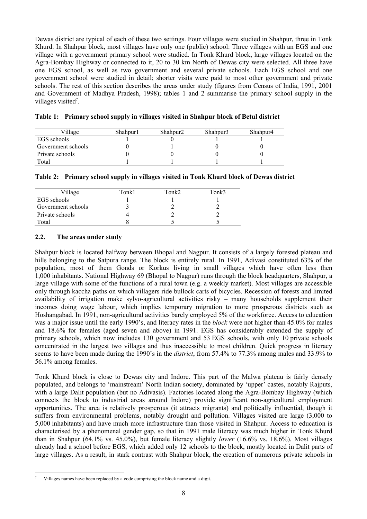Dewas district are typical of each of these two settings. Four villages were studied in Shahpur, three in Tonk Khurd. In Shahpur block, most villages have only one (public) school: Three villages with an EGS and one village with a government primary school were studied. In Tonk Khurd block, large villages located on the Agra-Bombay Highway or connected to it, 20 to 30 km North of Dewas city were selected. All three have one EGS school, as well as two government and several private schools. Each EGS school and one government school were studied in detail; shorter visits were paid to most other government and private schools. The rest of this section describes the areas under study (figures from Census of India, 1991, 2001 and Government of Madhya Pradesh, 1998); tables 1 and 2 summarise the primary school supply in the villages visited<sup>7</sup>.

| Village            | Shahpur1 | Shahpur <sub>2</sub> | Shahpur3 | Shahpur4 |
|--------------------|----------|----------------------|----------|----------|
| EGS schools        |          |                      |          |          |
| Government schools |          |                      |          |          |
| Private schools    |          |                      |          |          |
| Total              |          |                      |          |          |

|  | Table 1: Primary school supply in villages visited in Shahpur block of Betul district |  |  |  |  |  |  |
|--|---------------------------------------------------------------------------------------|--|--|--|--|--|--|
|--|---------------------------------------------------------------------------------------|--|--|--|--|--|--|

| Table 2: Primary school supply in villages visited in Tonk Khurd block of Dewas district |
|------------------------------------------------------------------------------------------|
|------------------------------------------------------------------------------------------|

| Village            | Tonk1 | Tonk2 | Tonk3 |
|--------------------|-------|-------|-------|
| EGS schools        |       |       |       |
| Government schools |       |       |       |
| Private schools    |       |       |       |
| Total              |       |       |       |

#### **2.2. The areas under study**

Shahpur block is located halfway between Bhopal and Nagpur. It consists of a largely forested plateau and hills belonging to the Satpura range. The block is entirely rural. In 1991, Adivasi constituted 63% of the population, most of them Gonds or Korkus living in small villages which have often less then 1,000 inhabitants. National Highway 69 (Bhopal to Nagpur) runs through the block headquarters, Shahpur, a large village with some of the functions of a rural town (e.g. a weekly market). Most villages are accessible only through kaccha paths on which villagers ride bullock carts of bicycles. Recession of forests and limited availability of irrigation make sylvo-agricultural activities risky – many households supplement their incomes doing wage labour, which implies temporary migration to more prosperous districts such as Hoshangabad. In 1991, non-agricultural activities barely employed 5% of the workforce. Access to education was a major issue until the early 1990's, and literacy rates in the *block* were not higher than 45.0% for males and 18.6% for females (aged seven and above) in 1991. EGS has considerably extended the supply of primary schools, which now includes 130 government and 53 EGS schools, with only 10 private schools concentrated in the largest two villages and thus inaccessible to most children. Quick progress in literacy seems to have been made during the 1990's in the *district*, from 57.4% to 77.3% among males and 33.9% to 56.1% among females.

Tonk Khurd block is close to Dewas city and Indore. This part of the Malwa plateau is fairly densely populated, and belongs to 'mainstream' North Indian society, dominated by 'upper' castes, notably Rajputs, with a large Dalit population (but no Adivasis). Factories located along the Agra-Bombay Highway (which connects the block to industrial areas around Indore) provide significant non-agricultural employment opportunities. The area is relatively prosperous (it attracts migrants) and politically influential, though it suffers from environmental problems, notably drought and pollution. Villages visited are large (3,000 to 5,000 inhabitants) and have much more infrastructure than those visited in Shahpur. Access to education is characterised by a phenomenal gender gap, so that in 1991 male literacy was much higher in Tonk Khurd than in Shahpur (64.1% vs. 45.0%), but female literacy slightly *lower* (16.6% vs. 18.6%). Most villages already had a school before EGS, which added only 12 schools to the block, mostly located in Dalit parts of large villages. As a result, in stark contrast with Shahpur block, the creation of numerous private schools in

l 7 Villages names have been replaced by a code comprising the block name and a digit.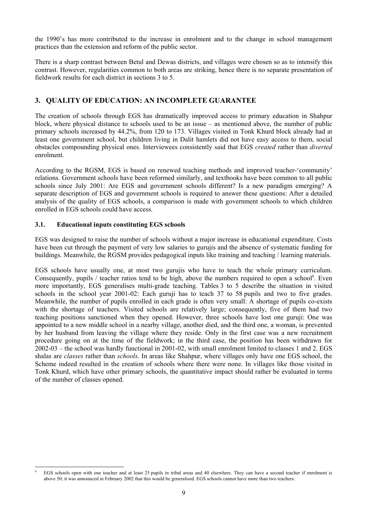the 1990's has more contributed to the increase in enrolment and to the change in school management practices than the extension and reform of the public sector.

There is a sharp contrast between Betul and Dewas districts, and villages were chosen so as to intensify this contrast. However, regularities common to both areas are striking, hence there is no separate presentation of fieldwork results for each district in sections 3 to 5.

# **3. QUALITY OF EDUCATION: AN INCOMPLETE GUARANTEE**

The creation of schools through EGS has dramatically improved access to primary education in Shahpur block, where physical distance to schools used to be an issue – as mentioned above, the number of public primary schools increased by 44.2%, from 120 to 173. Villages visited in Tonk Khurd block already had at least one government school, but children living in Dalit hamlets did not have easy access to them, social obstacles compounding physical ones. Interviewees consistently said that EGS *created* rather than *diverted*  enrolment.

According to the RGSM, EGS is based on renewed teaching methods and improved teacher-'community' relations. Government schools have been reformed similarly, and textbooks have been common to all public schools since July 2001: Are EGS and government schools different? Is a new paradigm emerging? A separate description of EGS and government schools is required to answer these questions: After a detailed analysis of the quality of EGS schools, a comparison is made with government schools to which children enrolled in EGS schools could have access.

# **3.1. Educational inputs constituting EGS schools**

EGS was designed to raise the number of schools without a major increase in educational expenditure. Costs have been cut through the payment of very low salaries to gurujis and the absence of systematic funding for buildings. Meanwhile, the RGSM provides pedagogical inputs like training and teaching / learning materials.

EGS schools have usually one, at most two gurujis who have to teach the whole primary curriculum. Consequently, pupils / teacher ratios tend to be high, above the numbers required to open a school<sup>8</sup>. Even more importantly, EGS generalises multi-grade teaching. Tables 3 to 5 describe the situation in visited schools in the school year 2001-02: Each guruji has to teach 37 to 58 pupils and two to five grades. Meanwhile, the number of pupils enrolled in each grade is often very small: A shortage of pupils co-exists with the shortage of teachers. Visited schools are relatively large; consequently, five of them had two teaching positions sanctioned when they opened. However, three schools have lost one guruji: One was appointed to a new middle school in a nearby village, another died, and the third one, a woman, is prevented by her husband from leaving the village where they reside. Only in the first case was a new recruitment procedure going on at the time of the fieldwork; in the third case, the position has been withdrawn for 2002-03 – the school was hardly functional in 2001-02, with small enrolment limited to classes 1 and 2. EGS shalas are *classes* rather than *schools*. In areas like Shahpur, where villages only have one EGS school, the Scheme indeed resulted in the creation of schools where there were none. In villages like those visited in Tonk Khurd, which have other primary schools, the quantitative impact should rather be evaluated in terms of the number of classes opened.

l 8 EGS schools open with one teacher and at least 25 pupils in tribal areas and 40 elsewhere. They can have a second teacher if enrolment is above 50; it was announced in February 2002 that this would be generalised. EGS schools cannot have more than two teachers.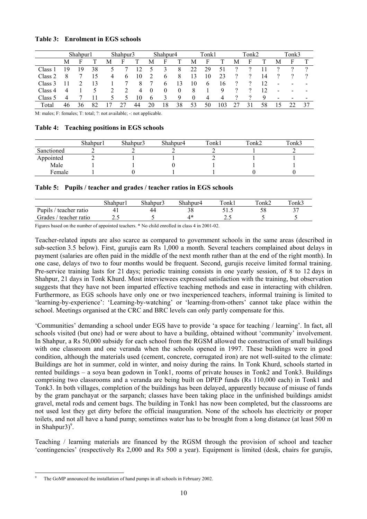#### **Table 3: Enrolment in EGS schools**

|                    |    | Shahpur1     |    |   | Shahpur3      |    |              | Shahpur4      |                |          | Tonk1    |     |          | Tonk2 |    |                          | Tonk3 |      |
|--------------------|----|--------------|----|---|---------------|----|--------------|---------------|----------------|----------|----------|-----|----------|-------|----|--------------------------|-------|------|
|                    | M  | $\mathbf{H}$ |    | М | ы             |    | М            | н             |                | М        | F        |     | М        | F     |    | М                        | F     |      |
| Class <sup>1</sup> | 9  | 19           | 38 |   |               | 12 | 5            | 3             | 8              | 22       | 29       | 51  | 9        | റ     |    | റ                        | റ     | റ    |
| Class 2            |    |              | 15 | 4 | $\mathbf{6}$  | 10 |              | 6             | 8              | 13       | 10       | 23  | 9        | ?     | 14 | റ                        |       | റ    |
| Class 3            |    |              | 13 |   |               | 8  |              | $\mathfrak b$ | 13             | 10       | $\sigma$ | 16  | $\gamma$ | ?     | 12 | $\overline{\phantom{a}}$ | $\,$  | $\,$ |
| Class 4            | 4  |              |    |   |               | 4  | $\theta$     | $\theta$      | $\overline{0}$ | 8        |          | 9   | າ        | റ     | 12 | $\overline{\phantom{a}}$ | -     | $\,$ |
| Class 5            | 4  |              |    |   | $\mathcal{D}$ | 10 | $\mathbf{6}$ | 3             | 9              | $\theta$ | 4        | 4   | $\Omega$ | 9     | Q  | $\overline{\phantom{a}}$ |       | -    |
| Total              | 46 | 36           |    |   |               | 44 | 20           | 18            | 38             | 53       | 50       | 103 |          | 31    | 58 | 15                       |       | 37   |

M: males; F: females; T: total; ?: not available; -: not applicable.

#### **Table 4: Teaching positions in EGS schools**

|            | Shahpur1 | Shahpur3 | Shahpur4 | Tonk1 | Tonk2 | Tonk3 |
|------------|----------|----------|----------|-------|-------|-------|
| Sanctioned |          |          |          |       |       |       |
| Appointed  |          |          |          |       |       |       |
| Male       |          |          |          |       |       |       |
| Female     |          |          |          |       |       |       |

#### **Table 5: Pupils / teacher and grades / teacher ratios in EGS schools**

|                        | Shahpur1 | Shahpur3                                       | Shahpur4                          | Tonk1 | $\tau_{\text{onk2}}$ | $\tau$ onk3 |
|------------------------|----------|------------------------------------------------|-----------------------------------|-------|----------------------|-------------|
| Pupils / teacher ratio |          |                                                |                                   |       |                      |             |
| Grades / teacher ratio |          |                                                |                                   | ,     |                      |             |
| $\sim$                 | .        | $\mathbf{a} \cdot \mathbf{v}$ and $\mathbf{v}$ | $\cdots$ and $\cdots$<br>$\cdots$ |       |                      |             |

Figures based on the number of appointed teachers. \* No child enrolled in class 4 in 2001-02.

Teacher-related inputs are also scarce as compared to government schools in the same areas (described in sub-section 3.5 below). First, gurujis earn Rs 1,000 a month. Several teachers complained about delays in payment (salaries are often paid in the middle of the next month rather than at the end of the right month). In one case, delays of two to four months would be frequent. Second, gurujis receive limited formal training. Pre-service training lasts for 21 days; periodic training consists in one yearly session, of 8 to 12 days in Shahpur, 21 days in Tonk Khurd. Most interviewees expressed satisfaction with the training, but observation suggests that they have not been imparted effective teaching methods and ease in interacting with children. Furthermore, as EGS schools have only one or two inexperienced teachers, informal training is limited to 'learning-by-experience': 'Learning-by-watching' or 'learning-from-others' cannot take place within the school. Meetings organised at the CRC and BRC levels can only partly compensate for this.

'Communities' demanding a school under EGS have to provide 'a space for teaching / learning'. In fact, all schools visited (but one) had or were about to have a building, obtained without 'community' involvement. In Shahpur, a Rs 50,000 subsidy for each school from the RGSM allowed the construction of small buildings with one classroom and one veranda when the schools opened in 1997. These buildings were in good condition, although the materials used (cement, concrete, corrugated iron) are not well-suited to the climate: Buildings are hot in summer, cold in winter, and noisy during the rains. In Tonk Khurd, schools started in rented buildings – a soya bean godown in Tonk1, rooms of private houses in Tonk2 and Tonk3. Buildings comprising two classrooms and a veranda are being built on DPEP funds (Rs 110,000 each) in Tonk1 and Tonk3. In both villages, completion of the buildings has been delayed, apparently because of misuse of funds by the gram panchayat or the sarpanch; classes have been taking place in the unfinished buildings amidst gravel, metal rods and cement bags. The building in Tonk1 has now been completed, but the classrooms are not used lest they get dirty before the official inauguration. None of the schools has electricity or proper toilets, and not all have a hand pump; sometimes water has to be brought from a long distance (at least 500 m in Shahpur $3$ <sup>9</sup>.

Teaching / learning materials are financed by the RGSM through the provision of school and teacher 'contingencies' (respectively Rs 2,000 and Rs 500 a year). Equipment is limited (desk, chairs for gurujis,

l 9 The GoMP announced the installation of hand pumps in all schools in February 2002.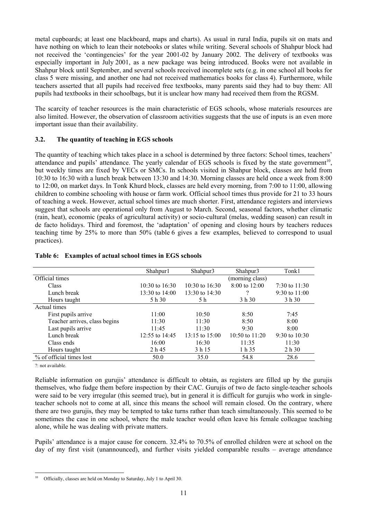metal cupboards; at least one blackboard, maps and charts). As usual in rural India, pupils sit on mats and have nothing on which to lean their notebooks or slates while writing. Several schools of Shahpur block had not received the 'contingencies' for the year 2001-02 by January 2002. The delivery of textbooks was especially important in July 2001, as a new package was being introduced. Books were not available in Shahpur block until September, and several schools received incomplete sets (e.g. in one school all books for class 5 were missing, and another one had not received mathematics books for class 4). Furthermore, while teachers asserted that all pupils had received free textbooks, many parents said they had to buy them: All pupils had textbooks in their schoolbags, but it is unclear how many had received them from the RGSM.

The scarcity of teacher resources is the main characteristic of EGS schools, whose materials resources are also limited. However, the observation of classroom activities suggests that the use of inputs is an even more important issue than their availability.

# **3.2. The quantity of teaching in EGS schools**

The quantity of teaching which takes place in a school is determined by three factors: School times, teachers' attendance and pupils' attendance. The yearly calendar of EGS schools is fixed by the state government<sup>10</sup>, but weekly times are fixed by VECs or SMCs. In schools visited in Shahpur block, classes are held from 10:30 to 16:30 with a lunch break between 13:30 and 14:30. Morning classes are held once a week from 8:00 to 12:00, on market days. In Tonk Khurd block, classes are held every morning, from 7:00 to 11:00, allowing children to combine schooling with house or farm work. Official school times thus provide for 21 to 33 hours of teaching a week. However, actual school times are much shorter. First, attendance registers and interviews suggest that schools are operational only from August to March. Second, seasonal factors, whether climatic (rain, heat), economic (peaks of agricultural activity) or socio-cultural (melas, wedding season) can result in de facto holidays. Third and foremost, the 'adaptation' of opening and closing hours by teachers reduces teaching time by 25% to more than 50% (table 6 gives a few examples, believed to correspond to usual practices).

|                               | Shahpur1           | Shahpur3           | Shahpur3           | Tonk1             |
|-------------------------------|--------------------|--------------------|--------------------|-------------------|
| Official times                |                    |                    | (morning class)    |                   |
| Class                         | $10:30$ to $16:30$ | $10:30$ to $16:30$ | $8:00$ to 12:00    | 7:30 to $11:30$   |
| Lunch break                   | $13:30$ to $14:00$ | 13:30 to $14:30$   |                    | 9:30 to $11:00$   |
| Hours taught                  | 5 h 30             | 5 h                | 3 h 30             | 3 h 30            |
| Actual times                  |                    |                    |                    |                   |
| First pupils arrive           | 11:00              | 10:50              | 8:50               | 7:45              |
| Teacher arrives, class begins | 11:30              | 11:30              | 8:50               | 8:00              |
| Last pupils arrive            | 11:45              | 11:30              | 9:30               | 8:00              |
| Lunch break                   | 12:55 to $14:45$   | $13:15$ to $15:00$ | $10:50$ to $11:20$ | $9:30$ to $10:30$ |
| Class ends                    | 16:00              | 16:30              | 11:35              | 11:30             |
| Hours taught                  | 2 h 45             | 3 h 15             | 1 h 35             | 2 h 30            |
| % of official times lost      | 50.0               | 35.0               | 54.8               | 28.6              |
|                               |                    |                    |                    |                   |

# **Table 6: Examples of actual school times in EGS schools**

?: not available.

Reliable information on gurujis' attendance is difficult to obtain, as registers are filled up by the gurujis themselves, who fudge them before inspection by their CAC. Gurujis of two de facto single-teacher schools were said to be very irregular (this seemed true), but in general it is difficult for gurujis who work in singleteacher schools not to come at all, since this means the school will remain closed. On the contrary, where there are two gurujis, they may be tempted to take turns rather than teach simultaneously. This seemed to be sometimes the case in one school, where the male teacher would often leave his female colleague teaching alone, while he was dealing with private matters.

Pupils' attendance is a major cause for concern. 32.4% to 70.5% of enrolled children were at school on the day of my first visit (unannounced), and further visits yielded comparable results – average attendance

l <sup>10</sup> Officially, classes are held on Monday to Saturday, July 1 to April 30.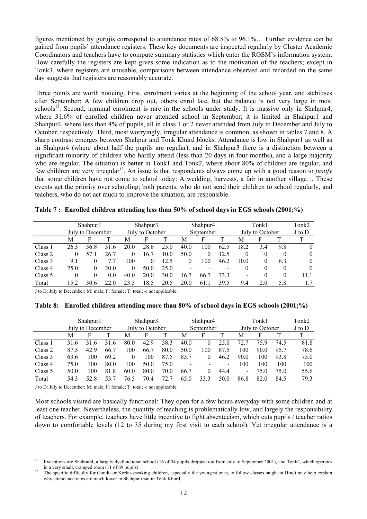figures mentioned by gurujis correspond to attendance rates of 68.5% to 96.1%… Further evidence can be gained from pupils' attendance registers. These key documents are inspected regularly by Cluster Academic Coordinators and teachers have to compute summary statistics which enter the RGSM's information system. How carefully the registers are kept gives some indication as to the motivation of the teachers; except in Tonk3, where registers are unusable, comparisons between attendance observed and recorded on the same day suggests that registers are reasonably accurate.

Three points are worth noticing. First, enrolment varies at the beginning of the school year, and stabilises after September: A few children drop out, others enrol late, but the balance is not very large in most schools<sup>11</sup>. Second, nominal enrolment is rare in the schools under study. It is massive only in Shahpur4, where 31.6% of enrolled children never attended school in September; it is limited in Shahpur1 and Shahpur2, where less than 4% of pupils, all in class 1 or 2 never attended from July to December and July to October, respectively. Third, most worryingly, irregular attendance is common, as shown in tables 7 and 8. A sharp contrast emerges between Shahpur and Tonk Khurd blocks. Attendance is low in Shahpur1 as well as in Shahpur4 (where about half the pupils are regular), and in Shahpur3 there is a distinction between a significant minority of children who hardly attend (less than 20 days in four months), and a large majority who are regular. The situation is better in Tonk1 and Tonk2, where about 80% of children are regular, and few children are very irregular<sup>12</sup>. An issue is that respondents always come up with a good reason to *justify* that some children have not come to school today: A wedding, harvests, a fair in another village… These events get the priority over schooling; both parents, who do not send their children to school regularly, and teachers, who do not act much to improve the situation, are responsible.

|         | Shahpur1         |      |      |                 | Shahpur3 |      |           | Shahpur <sub>4</sub> |      |                 | Tonk1 |          |          |
|---------|------------------|------|------|-----------------|----------|------|-----------|----------------------|------|-----------------|-------|----------|----------|
|         | July to December |      |      | July to October |          |      | September |                      |      | July to October |       |          | J to D   |
|         | М                |      |      | М               | F        |      | Μ         | F                    | т    | M               |       |          |          |
| Class 1 | 26.3             | 36.8 | 31.6 | 20.0            | 28.6     | 25.0 | 40.0      | 100                  | 62.5 | 18.2            | 3.4   | 9.8      | $\theta$ |
| Class 2 | 0                |      | 26.7 | 0               | 16.7     | 10.0 | 50.0      | 0                    | 12.5 | 0               | 0     | $\theta$ | 0        |
| Class 3 | 9.1              | 0    |      | 100             | 0        | 12.5 |           | 100                  | 46.2 | 10.0            |       | 6.3      | $\theta$ |
| Class 4 | 25.0             | 0    | 20.0 | 0               | 50.0     | 25.0 |           |                      |      | 0               | 0     | 0        | $\theta$ |
| Class 5 |                  | 0    | 0.0  | 40.0            | 20.0     | 30.0 | 16.7      | 66.7                 | 33.3 | $\,$            |       | 0        | 11.1     |
| Total   | 52               | 30.6 | 22.0 | 23.5            | 18.5     | 20.5 | 20.0      | 61.1                 | 39.5 | 9.4             | 20    | 5.8      | 1.7      |

| Table 7: Enrolled children attending less than 50% of school days in EGS schools (2001;%) |  |  |  |  |
|-------------------------------------------------------------------------------------------|--|--|--|--|
|                                                                                           |  |  |  |  |

J to D: July to December; M: male; F: female; T: total; -: not applicable.

|  | Table 8: Enrolled children attending more than 80% of school days in EGS schools (2001;%) |  |
|--|-------------------------------------------------------------------------------------------|--|
|  |                                                                                           |  |

|         | Shahpur1         |      | Shahpur3        |          | Shahpur <sub>4</sub> |      |      | Tonk1           |      |      | Tonk2  |      |      |
|---------|------------------|------|-----------------|----------|----------------------|------|------|-----------------|------|------|--------|------|------|
|         | July to December |      | July to October |          | September            |      |      | July to October |      |      | J to D |      |      |
|         | М                |      |                 | M        |                      |      | M    | F               |      | M    | F      |      |      |
| Class 1 | 316              | 31 6 | 31.6            | 80.0     | 42.9                 | 58.3 | 40.0 |                 | 25.0 | 72.7 | 75.9   | 74.5 | 81.8 |
| Class 2 | 87.5             | 42.9 | 66.7            | 100      | 66.7                 | 80.0 | 50.0 | 100             | 87.5 | 100  | 90.0   | 95.7 | 78.6 |
| Class 3 | 63.6             | 100  | 69.2            | $\theta$ | 100                  | 87.5 | 85.7 |                 | 46.2 | 90.0 | 100    | 93.8 | 75.0 |
| Class 4 | 75.0             | 100  | 80.0            | 100      | 50.0                 | 75.0 |      |                 | -    | 100  | 100    | 100  | 100  |
| Class 5 | 50.0             | 100  | 81.8            | 60.0     | 80.0                 | 70.0 | 66.7 |                 | 44.4 | -    | 75.0   | 75.0 | 55.6 |
| Total   | 543              | 52.8 | 53.7            | 76.5     | 70.4                 | 72.7 | 65.0 | 33.3            | 50.0 | 86.8 | 82.0   | 84.5 | 79.3 |

J to D: July to December; M: male; F: female; T: total; -: not applicable.

Most schools visited are basically functional: They open for a few hours everyday with some children and at least one teacher. Nevertheless, the quantity of teaching is problematically low, and largely the responsibility of teachers. For example, teachers have little incentive to fight absenteeism, which cuts pupils / teacher ratios down to comfortable levels (12 to 35 during my first visit to each school). Yet irregular attendance is a

 $\overline{11}$ 11 Exceptions are Shahpur4, a largely dysfunctional school (16 of 54 pupils dropped out from July to September 2001), and Tonk2, which operates in a very small, cramped room (11 of 69 pupils).  $\frac{12}{12}$  The specific difficulty for Gondi- or Korku-speaking children, especially the youngest ones, to follow classes taught in Hindi may help explain

why attendance rates are much lower in Shahpur than in Tonk Khurd.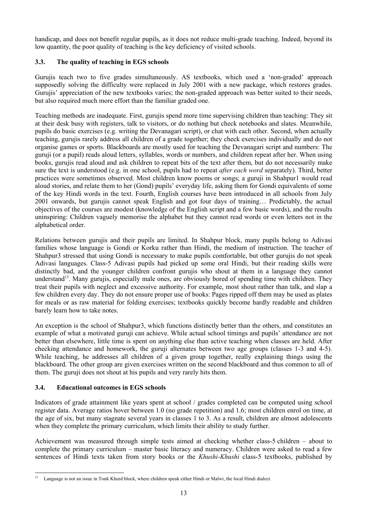handicap, and does not benefit regular pupils, as it does not reduce multi-grade teaching. Indeed, beyond its low quantity, the poor quality of teaching is the key deficiency of visited schools.

# **3.3. The quality of teaching in EGS schools**

Gurujis teach two to five grades simultaneously. AS textbooks, which used a 'non-graded' approach supposedly solving the difficulty were replaced in July 2001 with a new package, which restores grades. Gurujis' appreciation of the new textbooks varies; the non-graded approach was better suited to their needs, but also required much more effort than the familiar graded one.

Teaching methods are inadequate. First, gurujis spend more time supervising children than teaching: They sit at their desk busy with registers, talk to visitors, or do nothing but check notebooks and slates. Meanwhile, pupils do basic exercises (e.g. writing the Devanagari script), or chat with each other. Second, when actually teaching, gurujis rarely address all children of a grade together; they check exercises individually and do not organise games or sports. Blackboards are mostly used for teaching the Devanagari script and numbers: The guruji (or a pupil) reads aloud letters, syllables, words or numbers, and children repeat after her. When using books, gurujis read aloud and ask children to repeat bits of the text after them, but do not necessarily make sure the text is understood (e.g. in one school, pupils had to repeat *after each word* separately). Third, better practices were sometimes observed. Most children know poems or songs; a guruji in Shahpur1 would read aloud stories, and relate them to her (Gond) pupils' everyday life, asking them for Gondi equivalents of some of the key Hindi words in the text. Fourth, English courses have been introduced in all schools from July 2001 onwards, but gurujis cannot speak English and got four days of training… Predictably, the actual objectives of the courses are modest (knowledge of the English script and a few basic words), and the results uninspiring: Children vaguely memorise the alphabet but they cannot read words or even letters not in the alphabetical order.

Relations between gurujis and their pupils are limited. In Shahpur block, many pupils belong to Adivasi families whose language is Gondi or Korku rather than Hindi, the medium of instruction. The teacher of Shahpur3 stressed that using Gondi is necessary to make pupils comfortable, but other gurujis do not speak Adivasi languages. Class-5 Adivasi pupils had picked up some oral Hindi, but their reading skills were distinctly bad, and the younger children confront gurujis who shout at them in a language they cannot understand<sup>13</sup>. Many gurujis, especially male ones, are obviously bored of spending time with children. They treat their pupils with neglect and excessive authority. For example, most shout rather than talk, and slap a few children every day. They do not ensure proper use of books: Pages ripped off them may be used as plates for meals or as raw material for folding exercises; textbooks quickly become hardly readable and children barely learn how to take notes.

An exception is the school of Shahpur3, which functions distinctly better than the others, and constitutes an example of what a motivated guruji can achieve. While actual school timings and pupils' attendance are not better than elsewhere, little time is spent on anything else than active teaching when classes are held. After checking attendance and homework, the guruji alternates between two age groups (classes 1-3 and 4-5). While teaching, he addresses all children of a given group together, really explaining things using the blackboard. The other group are given exercises written on the second blackboard and thus common to all of them. The guruji does not shout at his pupils and very rarely hits them.

# **3.4. Educational outcomes in EGS schools**

Indicators of grade attainment like years spent at school / grades completed can be computed using school register data. Average ratios hover between 1.0 (no grade repetition) and 1.6; most children enrol on time, at the age of six, but many stagnate several years in classes 1 to 3. As a result, children are almost adolescents when they complete the primary curriculum, which limits their ability to study further.

Achievement was measured through simple tests aimed at checking whether class-5 children – about to complete the primary curriculum – master basic literacy and numeracy. Children were asked to read a few sentences of Hindi texts taken from story books or the *Khushi-Khushi* class-5 textbooks, published by

l <sup>13</sup> Language is not an issue in Tonk Khurd block, where children speak either Hindi or Malwi, the local Hindi dialect.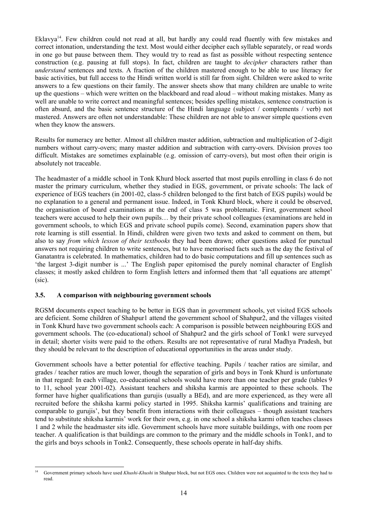Eklavya<sup>14</sup>. Few children could not read at all, but hardly any could read fluently with few mistakes and correct intonation, understanding the text. Most would either decipher each syllable separately, or read words in one go but pause between them. They would try to read as fast as possible without respecting sentence construction (e.g. pausing at full stops). In fact, children are taught to *decipher* characters rather than *understand* sentences and texts. A fraction of the children mastered enough to be able to use literacy for basic activities, but full access to the Hindi written world is still far from sight. Children were asked to write answers to a few questions on their family. The answer sheets show that many children are unable to write up the questions – which were written on the blackboard and read aloud – without making mistakes. Many as well are unable to write correct and meaningful sentences; besides spelling mistakes, sentence construction is often absurd, and the basic sentence structure of the Hindi language (subject / complements / verb) not mastered. Answers are often not understandable: These children are not able to answer simple questions even when they know the answers.

Results for numeracy are better. Almost all children master addition, subtraction and multiplication of 2-digit numbers without carry-overs; many master addition and subtraction with carry-overs. Division proves too difficult. Mistakes are sometimes explainable (e.g. omission of carry-overs), but most often their origin is absolutely not traceable.

The headmaster of a middle school in Tonk Khurd block asserted that most pupils enrolling in class 6 do not master the primary curriculum, whether they studied in EGS, government, or private schools: The lack of experience of EGS teachers (in 2001-02, class-5 children belonged to the first batch of EGS pupils) would be no explanation to a general and permanent issue. Indeed, in Tonk Khurd block, where it could be observed, the organisation of board examinations at the end of class 5 was problematic. First, government school teachers were accused to help their own pupils… by their private school colleagues (examinations are held in government schools, to which EGS and private school pupils come). Second, examination papers show that rote learning is still essential. In Hindi, children were given two texts and asked to comment on them, but also to say *from which lesson of their textbooks* they had been drawn; other questions asked for punctual answers not requiring children to write sentences, but to have memorised facts such as the day the festival of Ganatantra is celebrated. In mathematics, children had to do basic computations and fill up sentences such as 'the largest 3-digit number is ...' The English paper epitomised the purely nominal character of English classes; it mostly asked children to form English letters and informed them that 'all equations are attempt' (sic).

#### **3.5. A comparison with neighbouring government schools**

RGSM documents expect teaching to be better in EGS than in government schools, yet visited EGS schools are deficient. Some children of Shahpur1 attend the government school of Shahpur2, and the villages visited in Tonk Khurd have two government schools each: A comparison is possible between neighbouring EGS and government schools. The (co-educational) school of Shahpur2 and the girls school of Tonk1 were surveyed in detail; shorter visits were paid to the others. Results are not representative of rural Madhya Pradesh, but they should be relevant to the description of educational opportunities in the areas under study.

Government schools have a better potential for effective teaching. Pupils / teacher ratios are similar, and grades / teacher ratios are much lower, though the separation of girls and boys in Tonk Khurd is unfortunate in that regard: In each village, co-educational schools would have more than one teacher per grade (tables 9 to 11, school year 2001-02). Assistant teachers and shiksha karmis are appointed to these schools. The former have higher qualifications than gurujis (usually a BEd), and are more experienced, as they were all recruited before the shiksha karmi policy started in 1995. Shiksha karmis' qualifications and training are comparable to gurujis', but they benefit from interactions with their colleagues – though assistant teachers tend to substitute shiksha karmis' work for their own, e.g. in one school a shiksha karmi often teaches classes 1 and 2 while the headmaster sits idle. Government schools have more suitable buildings, with one room per teacher. A qualification is that buildings are common to the primary and the middle schools in Tonk1, and to the girls and boys schools in Tonk2. Consequently, these schools operate in half-day shifts.

 $\overline{14}$ 14 Government primary schools have used *Khushi-Khushi* in Shahpur block, but not EGS ones. Children were not acquainted to the texts they had to read.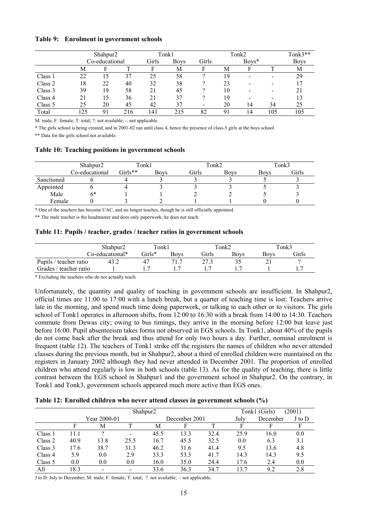#### **Table 9: Enrolment in government schools**

|         | Shahpur <sub>2</sub> |                |     |       | Tonk1       |       | Tonk2   |      |     |             |
|---------|----------------------|----------------|-----|-------|-------------|-------|---------|------|-----|-------------|
|         |                      | Co-educational |     | Girls | <b>Boys</b> | Girls | $Boys*$ |      |     | <b>Boys</b> |
|         | М                    | E              |     | F     | М           | F     | М       | F    |     | М           |
| Class 1 | 22                   | 15             | 37  | 25    | 58          |       | 19      | $\,$ |     | 29          |
| Class 2 | 18                   | 22             | 40  | 32    | 38          |       | 23      | -    |     |             |
| Class 3 | 39                   | 19             | 58  | 21    | 45          |       | 10      |      |     |             |
| Class 4 |                      | 15             | 36  | 21    | 37          |       | 19      | -    |     |             |
| Class 5 | 25                   | 20             | 45  | 42    | 37          | -     | 20      | 14   | 34  | 25          |
| Total   | 125                  | 91             | 216 | 141   | 215         | 82    | 91      | 14   | 105 | 105         |

M: male; F: female; T: total; ?: not available; -: not applicable.

\* The girls school is being created, and in 2001-02 ran until class 4, hence the presence of class-5 girls at the boys school.

\*\* Data for the girls school not available.

#### **Table 10: Teaching positions in government schools**

|            | Shahpur <sub>2</sub> | Tonk1   |      |       | Tonk2       | Tonk3       |       |  |
|------------|----------------------|---------|------|-------|-------------|-------------|-------|--|
|            | Co-educational       | Girls** | Bovs | Girls | <b>Boys</b> | <b>Boys</b> | Girls |  |
| Sanctioned |                      |         |      |       |             |             |       |  |
| Appointed  |                      |         |      |       |             |             |       |  |
| Male       | 6*                   |         |      |       |             |             |       |  |
| Female     |                      |         |      |       |             |             |       |  |

\* One of the teachers has become CAC, and no longer teaches, though he is still officially appointed.

\*\* The male teacher is the headmaster and does only paperwork; he does not teach.

#### **Table 11: Pupils / teacher, grades / teacher ratios in government schools**

|                        | Shahpur <sub>2</sub> | Tonk1       |      | $\tau$ onk2 |             | Tonk3 |       |
|------------------------|----------------------|-------------|------|-------------|-------------|-------|-------|
|                        | Co-educational*      | Girls*      | Bovs | Girls       | <b>Boys</b> | Bovs  | Girls |
| Pupils / teacher ratio | 43. $\epsilon$       | $4^{\circ}$ | 71.7 | 272         |             |       |       |
| Grades / teacher ratio |                      |             |      |             |             |       |       |

\* Excluding the teachers who do not actually teach.

Unfortunately, the quantity and quality of teaching in government schools are insufficient. In Shahpur2, official times are 11:00 to 17:00 with a lunch break, but a quarter of teaching time is lost: Teachers arrive late in the morning, and spend much time doing paperwork, or talking to each other or to visitors. The girls school of Tonk1 operates in afternoon shifts, from 12:00 to 16:30 with a break from 14:00 to 14:30. Teachers commute from Dewas city; owing to bus timings, they arrive in the morning before 12:00 but leave just before 16:00. Pupil absenteeism takes forms not observed in EGS schools. In Tonk1, about 40% of the pupils do not come back after the break and thus attend for only two hours a day. Further, nominal enrolment is frequent (table 12). The teachers of Tonk1 strike off the registers the names of children who never attended classes during the previous month, but in Shahpur2, about a third of enrolled children were maintained on the registers in January 2002 although they had never attended in December 2001. The proportion of enrolled children who attend regularly is low in both schools (table 13). As for the quality of teaching, there is little contrast between the EGS school in Shahpur1 and the government school in Shahpur2. On the contrary, in Tonk1 and Tonk3, government schools appeared much more active than EGS ones.

| Table 12: Enrolled children who never attend classes in government schools (%) |  |  |  |
|--------------------------------------------------------------------------------|--|--|--|
|--------------------------------------------------------------------------------|--|--|--|

|         |              |      | Tonk1 (Girls)<br>(2001)  |      |               |      |      |          |        |
|---------|--------------|------|--------------------------|------|---------------|------|------|----------|--------|
|         | Year 2000-01 |      |                          |      | December 2001 |      | July | December | J to D |
|         | F            | Μ    |                          | Μ    | F             |      |      |          |        |
| Class 1 | 11.1         | റ    | $\overline{\phantom{a}}$ | 45.5 | 13.3          | 32.4 | 25.9 | 16.0     | 0.0    |
| Class 2 | 40.9         | 13.8 | 25.5                     | 16.7 | 45.5          | 32.5 | 0.0  | 6.3      | 3.1    |
| Class 3 | 17.6         | 38.7 | 31.3                     | 46.2 | 31.6          | 41.4 | 9.5  | 13.6     | 4.8    |
| Class 4 | 5.9          | 0.0  | 2.9                      | 33.3 | 53.3          | 41.7 | 14.3 | 14.3     | 9.5    |
| Class 5 | 0.0          | 0.0  | 0.0                      | 16.0 | 35.0          | 24.4 | 17.6 | 2.4      | 0.0    |
| All     | 18.3         |      |                          | 33.6 | 36.3          | 34.7 | 13 7 | 92       | 2.8    |

J to D: July to December; M: male; F: female; T: total; ?: not available; -: not applicable.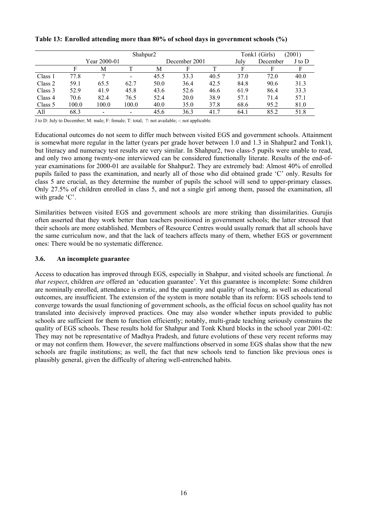|         |       |              |                          | Tonk1 (Girls)<br>(2001) |      |      |      |          |        |
|---------|-------|--------------|--------------------------|-------------------------|------|------|------|----------|--------|
|         |       | Year 2000-01 |                          | December 2001           |      |      | July | December | J to D |
|         | F     | М            |                          | М                       |      |      | F    | F        | F      |
| Class 1 | 77.8  |              | $\overline{\phantom{0}}$ | 45.5                    | 33.3 | 40.5 | 37.0 | 72.0     | 40.0   |
| Class 2 | 59.1  | 65.5         | 62.7                     | 50.0                    | 36.4 | 42.5 | 84.8 | 90.6     | 31.3   |
| Class 3 | 52.9  | 41.9         | 45.8                     | 43.6                    | 52.6 | 46.6 | 61.9 | 86.4     | 33.3   |
| Class 4 | 70.6  | 82.4         | 76.5                     | 52.4                    | 20.0 | 38.9 | 57.1 | 71.4     | 57.1   |
| Class 5 | 100.0 | 100.0        | 100.0                    | 40.0                    | 35.0 | 37.8 | 68.6 | 95.2     | 81.0   |
| All     | 68.3  |              | $\overline{\phantom{a}}$ | 45.6                    | 36.3 | 41.7 | 64.1 | 85.2     | 51.8   |

#### **Table 13: Enrolled attending more than 80% of school days in government schools (%)**

J to D: July to December; M: male; F: female; T: total; ?: not available; -: not applicable.

Educational outcomes do not seem to differ much between visited EGS and government schools. Attainment is somewhat more regular in the latter (years per grade hover between 1.0 and 1.3 in Shahpur2 and Tonk1), but literacy and numeracy test results are very similar. In Shahpur2, two class-5 pupils were unable to read, and only two among twenty-one interviewed can be considered functionally literate. Results of the end-ofyear examinations for 2000-01 are available for Shahpur2. They are extremely bad: Almost 40% of enrolled pupils failed to pass the examination, and nearly all of those who did obtained grade 'C' only. Results for class 5 are crucial, as they determine the number of pupils the school will send to upper-primary classes. Only 27.5% of children enrolled in class 5, and not a single girl among them, passed the examination, all with grade 'C'.

Similarities between visited EGS and government schools are more striking than dissimilarities. Gurujis often asserted that they work better than teachers positioned in government schools; the latter stressed that their schools are more established. Members of Resource Centres would usually remark that all schools have the same curriculum now, and that the lack of teachers affects many of them, whether EGS or government ones: There would be no systematic difference.

#### **3.6. An incomplete guarantee**

Access to education has improved through EGS, especially in Shahpur, and visited schools are functional. *In that respect*, children *are* offered an 'education guarantee'. Yet this guarantee is incomplete: Some children are nominally enrolled, attendance is erratic, and the quantity and quality of teaching, as well as educational outcomes, are insufficient. The extension of the system is more notable than its reform: EGS schools tend to converge towards the usual functioning of government schools, as the official focus on school quality has not translated into decisively improved practices. One may also wonder whether inputs provided to public schools are sufficient for them to function efficiently; notably, multi-grade teaching seriously constrains the quality of EGS schools. These results hold for Shahpur and Tonk Khurd blocks in the school year 2001-02: They may not be representative of Madhya Pradesh, and future evolutions of these very recent reforms may or may not confirm them. However, the severe malfunctions observed in some EGS shalas show that the new schools are fragile institutions; as well, the fact that new schools tend to function like previous ones is plausibly general, given the difficulty of altering well-entrenched habits.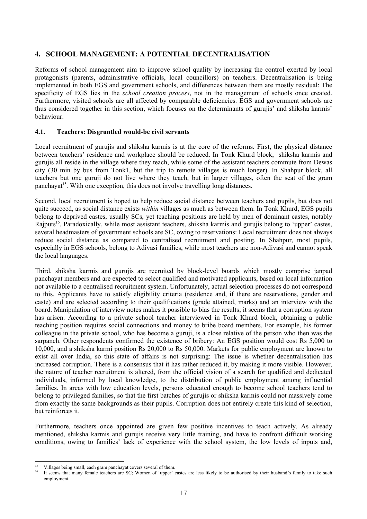# **4. SCHOOL MANAGEMENT: A POTENTIAL DECENTRALISATION**

Reforms of school management aim to improve school quality by increasing the control exerted by local protagonists (parents, administrative officials, local councillors) on teachers. Decentralisation is being implemented in both EGS and government schools, and differences between them are mostly residual: The specificity of EGS lies in the *school creation process*, not in the management of schools once created. Furthermore, visited schools are all affected by comparable deficiencies. EGS and government schools are thus considered together in this section, which focuses on the determinants of gurujis' and shiksha karmis' behaviour.

#### **4.1. Teachers: Disgruntled would-be civil servants**

Local recruitment of gurujis and shiksha karmis is at the core of the reforms. First, the physical distance between teachers' residence and workplace should be reduced. In Tonk Khurd block, shiksha karmis and gurujis all reside in the village where they teach, while some of the assistant teachers commute from Dewas city (30 min by bus from Tonk1, but the trip to remote villages is much longer). In Shahpur block, all teachers but one guruji do not live where they teach, but in larger villages, often the seat of the gram panchayat<sup>15</sup>. With one exception, this does not involve travelling long distances.

Second, local recruitment is hoped to help reduce social distance between teachers and pupils, but does not quite succeed, as social distance exists *within* villages as much as between them. In Tonk Khurd, EGS pupils belong to deprived castes, usually SCs, yet teaching positions are held by men of dominant castes, notably Rajputs<sup>16</sup>. Paradoxically, while most assistant teachers, shiksha karmis and gurujis belong to 'upper' castes, several headmasters of government schools are SC, owing to reservations: Local recruitment does not always reduce social distance as compared to centralised recruitment and posting. In Shahpur, most pupils, especially in EGS schools, belong to Adivasi families, while most teachers are non-Adivasi and cannot speak the local languages.

Third, shiksha karmis and gurujis are recruited by block-level boards which mostly comprise janpad panchayat members and are expected to select qualified and motivated applicants, based on local information not available to a centralised recruitment system. Unfortunately, actual selection processes do not correspond to this. Applicants have to satisfy eligibility criteria (residence and, if there are reservations, gender and caste) and are selected according to their qualifications (grade attained, marks) and an interview with the board. Manipulation of interview notes makes it possible to bias the results; it seems that a corruption system has arisen. According to a private school teacher interviewed in Tonk Khurd block, obtaining a public teaching position requires social connections and money to bribe board members. For example, his former colleague in the private school, who has become a guruji, is a close relative of the person who then was the sarpanch. Other respondents confirmed the existence of bribery: An EGS position would cost Rs 5,000 to 10,000, and a shiksha karmi position Rs 20,000 to Rs 50,000. Markets for public employment are known to exist all over India, so this state of affairs is not surprising: The issue is whether decentralisation has increased corruption. There is a consensus that it has rather reduced it, by making it more visible. However, the nature of teacher recruitment is altered, from the official vision of a search for qualified and dedicated individuals, informed by local knowledge, to the distribution of public employment among influential families. In areas with low education levels, persons educated enough to become school teachers tend to belong to privileged families, so that the first batches of gurujis or shiksha karmis could not massively come from exactly the same backgrounds as their pupils. Corruption does not entirely create this kind of selection, but reinforces it.

Furthermore, teachers once appointed are given few positive incentives to teach actively. As already mentioned, shiksha karmis and gurujis receive very little training, and have to confront difficult working conditions, owing to families' lack of experience with the school system, the low levels of inputs and,

l

Villages being small, each gram panchayat covers several of them.

<sup>16</sup> It seems that many female teachers are SC; Women of 'upper' castes are less likely to be authorised by their husband's family to take such employment.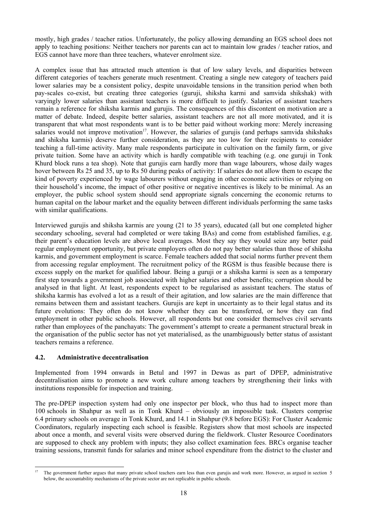mostly, high grades / teacher ratios. Unfortunately, the policy allowing demanding an EGS school does not apply to teaching positions: Neither teachers nor parents can act to maintain low grades / teacher ratios, and EGS cannot have more than three teachers, whatever enrolment size.

A complex issue that has attracted much attention is that of low salary levels, and disparities between different categories of teachers generate much resentment. Creating a single new category of teachers paid lower salaries may be a consistent policy, despite unavoidable tensions in the transition period when both pay-scales co-exist, but creating three categories (guruji, shiksha karmi and samvida shikshak) with varyingly lower salaries than assistant teachers is more difficult to justify. Salaries of assistant teachers remain a reference for shiksha karmis and gurujis. The consequences of this discontent on motivation are a matter of debate. Indeed, despite better salaries, assistant teachers are not all more motivated, and it is transparent that what most respondents want is to be better paid without working more: Merely increasing salaries would not improve motivation<sup>17</sup>. However, the salaries of gurujis (and perhaps samvida shikshaks and shiksha karmis) deserve further consideration, as they are too low for their recipients to consider teaching a full-time activity. Many male respondents participate in cultivation on the family farm, or give private tuition. Some have an activity which is hardly compatible with teaching (e.g. one guruji in Tonk Khurd block runs a tea shop). Note that gurujis earn hardly more than wage labourers, whose daily wages hover between Rs 25 and 35, up to Rs 50 during peaks of activity: If salaries do not allow them to escape the kind of poverty experienced by wage labourers without engaging in other economic activities or relying on their household's income, the impact of other positive or negative incentives is likely to be minimal. As an employer, the public school system should send appropriate signals concerning the economic returns to human capital on the labour market and the equality between different individuals performing the same tasks with similar qualifications.

Interviewed gurujis and shiksha karmis are young (21 to 35 years), educated (all but one completed higher secondary schooling, several had completed or were taking BAs) and come from established families, e.g. their parent's education levels are above local averages. Most they say they would seize any better paid regular employment opportunity, but private employers often do not pay better salaries than those of shiksha karmis, and government employment is scarce. Female teachers added that social norms further prevent them from accessing regular employment. The recruitment policy of the RGSM is thus feasible because there is excess supply on the market for qualified labour. Being a guruji or a shiksha karmi is seen as a temporary first step towards a government job associated with higher salaries and other benefits; corruption should be analysed in that light. At least, respondents expect to be regularised as assistant teachers. The status of shiksha karmis has evolved a lot as a result of their agitation, and low salaries are the main difference that remains between them and assistant teachers. Gurujis are kept in uncertainty as to their legal status and its future evolutions: They often do not know whether they can be transferred, or how they can find employment in other public schools. However, all respondents but one consider themselves civil servants rather than employees of the panchayats: The government's attempt to create a permanent structural break in the organisation of the public sector has not yet materialised, as the unambiguously better status of assistant teachers remains a reference.

# **4.2. Administrative decentralisation**

Implemented from 1994 onwards in Betul and 1997 in Dewas as part of DPEP, administrative decentralisation aims to promote a new work culture among teachers by strengthening their links with institutions responsible for inspection and training.

The pre-DPEP inspection system had only one inspector per block, who thus had to inspect more than 100 schools in Shahpur as well as in Tonk Khurd – obviously an impossible task. Clusters comprise 6.4 primary schools on average in Tonk Khurd, and 14.1 in Shahpur (9.8 before EGS): For Cluster Academic Coordinators, regularly inspecting each school is feasible. Registers show that most schools are inspected about once a month, and several visits were observed during the fieldwork. Cluster Resource Coordinators are supposed to check any problem with inputs; they also collect examination fees. BRCs organise teacher training sessions, transmit funds for salaries and minor school expenditure from the district to the cluster and

 $\overline{17}$ 17 The government further argues that many private school teachers earn less than even gurujis and work more. However, as argued in section 5 below, the accountability mechanisms of the private sector are not replicable in public schools.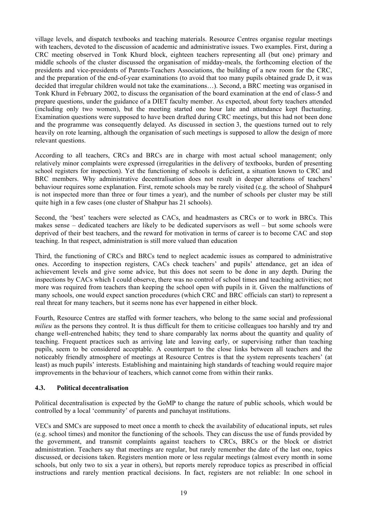village levels, and dispatch textbooks and teaching materials. Resource Centres organise regular meetings with teachers, devoted to the discussion of academic and administrative issues. Two examples. First, during a CRC meeting observed in Tonk Khurd block, eighteen teachers representing all (but one) primary and middle schools of the cluster discussed the organisation of midday-meals, the forthcoming election of the presidents and vice-presidents of Parents-Teachers Associations, the building of a new room for the CRC, and the preparation of the end-of-year examinations (to avoid that too many pupils obtained grade D, it was decided that irregular children would not take the examinations…). Second, a BRC meeting was organised in Tonk Khurd in February 2002, to discuss the organisation of the board examination at the end of class-5 and prepare questions, under the guidance of a DIET faculty member. As expected, about forty teachers attended (including only two women), but the meeting started one hour late and attendance kept fluctuating. Examination questions were supposed to have been drafted during CRC meetings, but this had not been done and the programme was consequently delayed. As discussed in section 3, the questions turned out to rely heavily on rote learning, although the organisation of such meetings is supposed to allow the design of more relevant questions.

According to all teachers, CRCs and BRCs are in charge with most actual school management; only relatively minor complaints were expressed (irregularities in the delivery of textbooks, burden of presenting school registers for inspection). Yet the functioning of schools is deficient, a situation known to CRC and BRC members. Why administrative decentralisation does not result in deeper alterations of teachers' behaviour requires some explanation. First, remote schools may be rarely visited (e.g. the school of Shahpur4 is not inspected more than three or four times a year), and the number of schools per cluster may be still quite high in a few cases (one cluster of Shahpur has 21 schools).

Second, the 'best' teachers were selected as CACs, and headmasters as CRCs or to work in BRCs. This makes sense – dedicated teachers are likely to be dedicated supervisors as well – but some schools were deprived of their best teachers, and the reward for motivation in terms of career is to become CAC and stop teaching. In that respect, administration is still more valued than education

Third, the functioning of CRCs and BRCs tend to neglect academic issues as compared to administrative ones. According to inspection registers, CACs check teachers' and pupils' attendance, get an idea of achievement levels and give some advice, but this does not seem to be done in any depth. During the inspections by CACs which I could observe, there was no control of school times and teaching activities; not more was required from teachers than keeping the school open with pupils in it. Given the malfunctions of many schools, one would expect sanction procedures (which CRC and BRC officials can start) to represent a real threat for many teachers, but it seems none has ever happened in either block.

Fourth, Resource Centres are staffed with former teachers, who belong to the same social and professional *milieu* as the persons they control. It is thus difficult for them to criticise colleagues too harshly and try and change well-entrenched habits; they tend to share comparably lax norms about the quantity and quality of teaching. Frequent practices such as arriving late and leaving early, or supervising rather than teaching pupils, seem to be considered acceptable. A counterpart to the close links between all teachers and the noticeably friendly atmosphere of meetings at Resource Centres is that the system represents teachers' (at least) as much pupils' interests. Establishing and maintaining high standards of teaching would require major improvements in the behaviour of teachers, which cannot come from within their ranks.

#### **4.3. Political decentralisation**

Political decentralisation is expected by the GoMP to change the nature of public schools, which would be controlled by a local 'community' of parents and panchayat institutions.

VECs and SMCs are supposed to meet once a month to check the availability of educational inputs, set rules (e.g. school times) and monitor the functioning of the schools. They can discuss the use of funds provided by the government, and transmit complaints against teachers to CRCs, BRCs or the block or district administration. Teachers say that meetings are regular, but rarely remember the date of the last one, topics discussed, or decisions taken. Registers mention more or less regular meetings (almost every month in some schools, but only two to six a year in others), but reports merely reproduce topics as prescribed in official instructions and rarely mention practical decisions. In fact, registers are not reliable: In one school in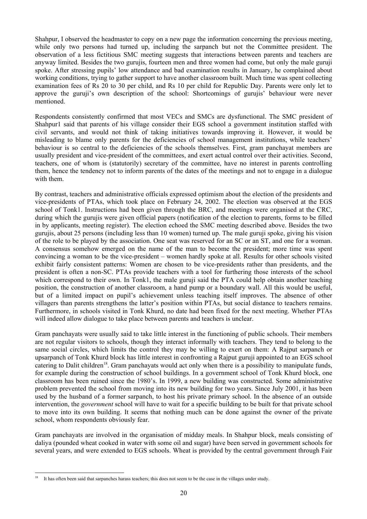Shahpur, I observed the headmaster to copy on a new page the information concerning the previous meeting, while only two persons had turned up, including the sarpanch but not the Committee president. The observation of a less fictitious SMC meeting suggests that interactions between parents and teachers are anyway limited. Besides the two gurujis, fourteen men and three women had come, but only the male guruji spoke. After stressing pupils' low attendance and bad examination results in January, he complained about working conditions, trying to gather support to have another classroom built. Much time was spent collecting examination fees of Rs 20 to 30 per child, and Rs 10 per child for Republic Day. Parents were only let to approve the guruji's own description of the school: Shortcomings of gurujis' behaviour were never mentioned.

Respondents consistently confirmed that most VECs and SMCs are dysfunctional. The SMC president of Shahpur1 said that parents of his village consider their EGS school a government institution staffed with civil servants, and would not think of taking initiatives towards improving it. However, it would be misleading to blame only parents for the deficiencies of school management institutions, while teachers' behaviour is so central to the deficiencies of the schools themselves. First, gram panchayat members are usually president and vice-president of the committees, and exert actual control over their activities. Second, teachers, one of whom is (statutorily) secretary of the committee, have no interest in parents controlling them, hence the tendency not to inform parents of the dates of the meetings and not to engage in a dialogue with them.

By contrast, teachers and administrative officials expressed optimism about the election of the presidents and vice-presidents of PTAs, which took place on February 24, 2002. The election was observed at the EGS school of Tonk1. Instructions had been given through the BRC, and meetings were organised at the CRC, during which the gurujis were given official papers (notification of the election to parents, forms to be filled in by applicants, meeting register). The election echoed the SMC meeting described above. Besides the two gurujis, about 25 persons (including less than 10 women) turned up. The male guruji spoke, giving his vision of the role to be played by the association. One seat was reserved for an SC or an ST, and one for a woman. A consensus somehow emerged on the name of the man to become the president; more time was spent convincing a woman to be the vice-president – women hardly spoke at all. Results for other schools visited exhibit fairly consistent patterns: Women are chosen to be vice-presidents rather than presidents, and the president is often a non-SC. PTAs provide teachers with a tool for furthering those interests of the school which correspond to their own. In Tonk1, the male guruji said the PTA could help obtain another teaching position, the construction of another classroom, a hand pump or a boundary wall. All this would be useful, but of a limited impact on pupil's achievement unless teaching itself improves. The absence of other villagers than parents strengthens the latter's position within PTAs, but social distance to teachers remains. Furthermore, in schools visited in Tonk Khurd, no date had been fixed for the next meeting. Whether PTAs will indeed allow dialogue to take place between parents and teachers is unclear.

Gram panchayats were usually said to take little interest in the functioning of public schools. Their members are not regular visitors to schools, though they interact informally with teachers. They tend to belong to the same social circles, which limits the control they may be willing to exert on them: A Rajput sarpanch or upsarpanch of Tonk Khurd block has little interest in confronting a Rajput guruji appointed to an EGS school catering to Dalit children<sup>18</sup>. Gram panchayats would act only when there is a possibility to manipulate funds, for example during the construction of school buildings. In a government school of Tonk Khurd block, one classroom has been ruined since the 1980's. In 1999, a new building was constructed. Some administrative problem prevented the school from moving into its new building for two years. Since July 2001, it has been used by the husband of a former sarpanch, to host his private primary school. In the absence of an outside intervention, the *government* school will have to wait for a specific building to be built for that private school to move into its own building. It seems that nothing much can be done against the owner of the private school, whom respondents obviously fear.

Gram panchayats are involved in the organisation of midday meals. In Shahpur block, meals consisting of daliya (pounded wheat cooked in water with some oil and sugar) have been served in government schools for several years, and were extended to EGS schools. Wheat is provided by the central government through Fair

l <sup>18</sup> It has often been said that sarpanches harass teachers; this does not seem to be the case in the villages under study.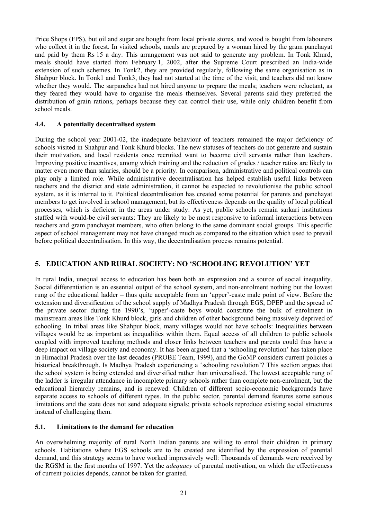Price Shops (FPS), but oil and sugar are bought from local private stores, and wood is bought from labourers who collect it in the forest. In visited schools, meals are prepared by a woman hired by the gram panchayat and paid by them Rs 15 a day. This arrangement was not said to generate any problem. In Tonk Khurd, meals should have started from February 1, 2002, after the Supreme Court prescribed an India-wide extension of such schemes. In Tonk2, they are provided regularly, following the same organisation as in Shahpur block. In Tonk1 and Tonk3, they had not started at the time of the visit, and teachers did not know whether they would. The sarpanches had not hired anyone to prepare the meals; teachers were reluctant, as they feared they would have to organise the meals themselves. Several parents said they preferred the distribution of grain rations, perhaps because they can control their use, while only children benefit from school meals.

#### **4.4. A potentially decentralised system**

During the school year 2001-02, the inadequate behaviour of teachers remained the major deficiency of schools visited in Shahpur and Tonk Khurd blocks. The new statuses of teachers do not generate and sustain their motivation, and local residents once recruited want to become civil servants rather than teachers. Improving positive incentives, among which training and the reduction of grades / teacher ratios are likely to matter even more than salaries, should be a priority. In comparison, administrative and political controls can play only a limited role. While administrative decentralisation has helped establish useful links between teachers and the district and state administration, it cannot be expected to revolutionise the public school system, as it is internal to it. Political decentralisation has created some potential for parents and panchayat members to get involved in school management, but its effectiveness depends on the quality of local political processes, which is deficient in the areas under study. As yet, public schools remain sarkari institutions staffed with would-be civil servants: They are likely to be most responsive to informal interactions between teachers and gram panchayat members, who often belong to the same dominant social groups. This specific aspect of school management may not have changed much as compared to the situation which used to prevail before political decentralisation. In this way, the decentralisation process remains potential.

# **5. EDUCATION AND RURAL SOCIETY: NO 'SCHOOLING REVOLUTION' YET**

In rural India, unequal access to education has been both an expression and a source of social inequality. Social differentiation is an essential output of the school system, and non-enrolment nothing but the lowest rung of the educational ladder – thus quite acceptable from an 'upper'-caste male point of view. Before the extension and diversification of the school supply of Madhya Pradesh through EGS, DPEP and the spread of the private sector during the 1990's, 'upper'-caste boys would constitute the bulk of enrolment in mainstream areas like Tonk Khurd block, girls and children of other background being massively deprived of schooling. In tribal areas like Shahpur block, many villages would not have schools: Inequalities between villages would be as important as inequalities within them. Equal access of all children to public schools coupled with improved teaching methods and closer links between teachers and parents could thus have a deep impact on village society and economy. It has been argued that a 'schooling revolution' has taken place in Himachal Pradesh over the last decades (PROBE Team, 1999), and the GoMP considers current policies a historical breakthrough. Is Madhya Pradesh experiencing a 'schooling revolution'? This section argues that the school system is being extended and diversified rather than universalised. The lowest acceptable rung of the ladder is irregular attendance in incomplete primary schools rather than complete non-enrolment, but the educational hierarchy remains, and is renewed: Children of different socio-economic backgrounds have separate access to schools of different types. In the public sector, parental demand features some serious limitations and the state does not send adequate signals; private schools reproduce existing social structures instead of challenging them.

#### **5.1. Limitations to the demand for education**

An overwhelming majority of rural North Indian parents are willing to enrol their children in primary schools. Habitations where EGS schools are to be created are identified by the expression of parental demand, and this strategy seems to have worked impressively well: Thousands of demands were received by the RGSM in the first months of 1997. Yet the *adequacy* of parental motivation, on which the effectiveness of current policies depends, cannot be taken for granted.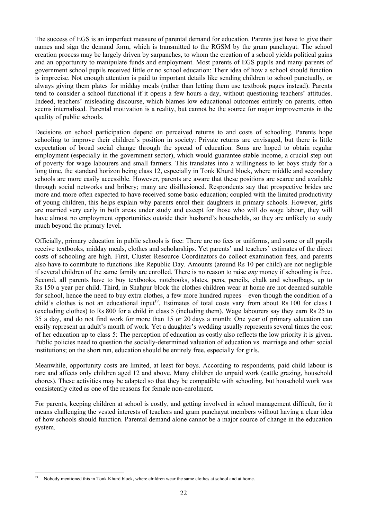The success of EGS is an imperfect measure of parental demand for education. Parents just have to give their names and sign the demand form, which is transmitted to the RGSM by the gram panchayat. The school creation process may be largely driven by sarpanches, to whom the creation of a school yields political gains and an opportunity to manipulate funds and employment. Most parents of EGS pupils and many parents of government school pupils received little or no school education: Their idea of how a school should function is imprecise. Not enough attention is paid to important details like sending children to school punctually, or always giving them plates for midday meals (rather than letting them use textbook pages instead). Parents tend to consider a school functional if it opens a few hours a day, without questioning teachers' attitudes. Indeed, teachers' misleading discourse, which blames low educational outcomes entirely on parents, often seems internalised. Parental motivation is a reality, but cannot be the source for major improvements in the quality of public schools.

Decisions on school participation depend on perceived returns to and costs of schooling. Parents hope schooling to improve their children's position in society: Private returns are envisaged, but there is little expectation of broad social change through the spread of education. Sons are hoped to obtain regular employment (especially in the government sector), which would guarantee stable income, a crucial step out of poverty for wage labourers and small farmers. This translates into a willingness to let boys study for a long time, the standard horizon being class 12, especially in Tonk Khurd block, where middle and secondary schools are more easily accessible. However, parents are aware that these positions are scarce and available through social networks and bribery; many are disillusioned. Respondents say that prospective brides are more and more often expected to have received some basic education; coupled with the limited productivity of young children, this helps explain why parents enrol their daughters in primary schools. However, girls are married very early in both areas under study and except for those who will do wage labour, they will have almost no employment opportunities outside their husband's households, so they are unlikely to study much beyond the primary level.

Officially, primary education in public schools is free: There are no fees or uniforms, and some or all pupils receive textbooks, midday meals, clothes and scholarships. Yet parents' and teachers' estimates of the direct costs of schooling are high. First, Cluster Resource Coordinators do collect examination fees, and parents also have to contribute to functions like Republic Day. Amounts (around Rs 10 per child) are not negligible if several children of the same family are enrolled. There is no reason to raise *any* money if schooling is free. Second, all parents have to buy textbooks, notebooks, slates, pens, pencils, chalk and schoolbags, up to Rs 150 a year per child. Third, in Shahpur block the clothes children wear at home are not deemed suitable for school, hence the need to buy extra clothes, a few more hundred rupees – even though the condition of a child's clothes is not an educational input<sup>19</sup>. Estimates of total costs vary from about Rs 100 for class 1 (excluding clothes) to Rs 800 for a child in class 5 (including them). Wage labourers say they earn Rs 25 to 35 a day, and do not find work for more than 15 or 20 days a month: One year of primary education can easily represent an adult's month of work. Yet a daughter's wedding usually represents several times the cost of her education up to class 5: The perception of education as costly also reflects the low priority it is given. Public policies need to question the socially-determined valuation of education vs. marriage and other social institutions; on the short run, education should be entirely free, especially for girls.

Meanwhile, opportunity costs are limited, at least for boys. According to respondents, paid child labour is rare and affects only children aged 12 and above. Many children do unpaid work (cattle grazing, household chores). These activities may be adapted so that they be compatible with schooling, but household work was consistently cited as one of the reasons for female non-enrolment.

For parents, keeping children at school is costly, and getting involved in school management difficult, for it means challenging the vested interests of teachers and gram panchayat members without having a clear idea of how schools should function. Parental demand alone cannot be a major source of change in the education system.

l <sup>19</sup> Nobody mentioned this in Tonk Khurd block, where children wear the same clothes at school and at home.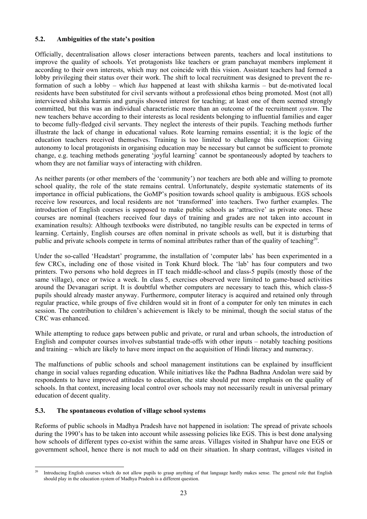# **5.2. Ambiguities of the state's position**

Officially, decentralisation allows closer interactions between parents, teachers and local institutions to improve the quality of schools. Yet protagonists like teachers or gram panchayat members implement it according to their own interests, which may not coincide with this vision. Assistant teachers had formed a lobby privileging their status over their work. The shift to local recruitment was designed to prevent the reformation of such a lobby – which *has* happened at least with shiksha karmis – but de-motivated local residents have been substituted for civil servants without a professional ethos being promoted. Most (not all) interviewed shiksha karmis and gurujis showed interest for teaching; at least one of them seemed strongly committed, but this was an individual characteristic more than an outcome of the recruitment *system*. The new teachers behave according to their interests as local residents belonging to influential families and eager to become fully-fledged civil servants. They neglect the interests of their pupils. Teaching methods further illustrate the lack of change in educational values. Rote learning remains essential; it is the logic of the education teachers received themselves. Training is too limited to challenge this conception: Giving autonomy to local protagonists in organising education may be necessary but cannot be sufficient to promote change, e.g. teaching methods generating 'joyful learning' cannot be spontaneously adopted by teachers to whom they are not familiar ways of interacting with children.

As neither parents (or other members of the 'community') nor teachers are both able and willing to promote school quality, the role of the state remains central. Unfortunately, despite systematic statements of its importance in official publications, the GoMP's position towards school quality is ambiguous. EGS schools receive low resources, and local residents are not 'transformed' into teachers. Two further examples. The introduction of English courses is supposed to make public schools as 'attractive' as private ones. These courses are nominal (teachers received four days of training and grades are not taken into account in examination results): Although textbooks were distributed, no tangible results can be expected in terms of learning. Certainly, English courses are often nominal in private schools as well, but it is disturbing that public and private schools compete in terms of nominal attributes rather than of the quality of teaching<sup>20</sup>.

Under the so-called 'Headstart' programme, the installation of 'computer labs' has been experimented in a few CRCs, including one of those visited in Tonk Khurd block. The 'lab' has four computers and two printers. Two persons who hold degrees in IT teach middle-school and class-5 pupils (mostly those of the same village), once or twice a week. In class 5, exercises observed were limited to game-based activities around the Devanagari script. It is doubtful whether computers are necessary to teach this, which class-5 pupils should already master anyway. Furthermore, computer literacy is acquired and retained only through regular practice, while groups of five children would sit in front of a computer for only ten minutes in each session. The contribution to children's achievement is likely to be minimal, though the social status of the CRC was enhanced.

While attempting to reduce gaps between public and private, or rural and urban schools, the introduction of English and computer courses involves substantial trade-offs with other inputs – notably teaching positions and training – which are likely to have more impact on the acquisition of Hindi literacy and numeracy.

The malfunctions of public schools and school management institutions can be explained by insufficient change in social values regarding education. While initiatives like the Padhna Badhna Andolan were said by respondents to have improved attitudes to education, the state should put more emphasis on the quality of schools. In that context, increasing local control over schools may not necessarily result in universal primary education of decent quality.

# **5.3. The spontaneous evolution of village school systems**

Reforms of public schools in Madhya Pradesh have not happened in isolation: The spread of private schools during the 1990's has to be taken into account while assessing policies like EGS. This is best done analysing how schools of different types co-exist within the same areas. Villages visited in Shahpur have one EGS or government school, hence there is not much to add on their situation. In sharp contrast, villages visited in

 $20$ 20 Introducing English courses which do not allow pupils to grasp anything of that language hardly makes sense. The general role that English should play in the education system of Madhya Pradesh is a different question.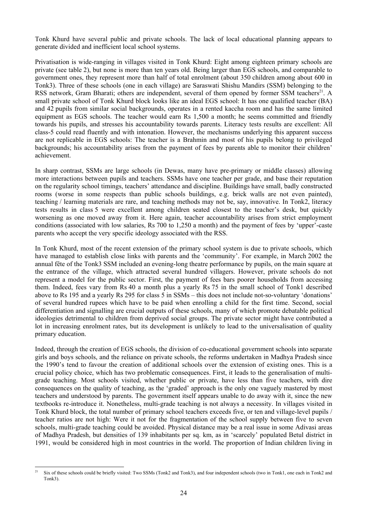Tonk Khurd have several public and private schools. The lack of local educational planning appears to generate divided and inefficient local school systems.

Privatisation is wide-ranging in villages visited in Tonk Khurd: Eight among eighteen primary schools are private (see table 2), but none is more than ten years old. Being larger than EGS schools, and comparable to government ones, they represent more than half of total enrolment (about 350 children among about 600 in Tonk3). Three of these schools (one in each village) are Saraswati Shishu Mandirs (SSM) belonging to the RSS network, Gram Bharati; others are independent, several of them opened by former SSM teachers<sup>21</sup>. A small private school of Tonk Khurd block looks like an ideal EGS school: It has one qualified teacher (BA) and 42 pupils from similar social backgrounds, operates in a rented kaccha room and has the same limited equipment as EGS schools. The teacher would earn Rs 1,500 a month; he seems committed and friendly towards his pupils, and stresses his accountability towards parents. Literacy tests results are excellent: All class-5 could read fluently and with intonation. However, the mechanisms underlying this apparent success are not replicable in EGS schools: The teacher is a Brahmin and most of his pupils belong to privileged backgrounds; his accountability arises from the payment of fees by parents able to monitor their children' achievement.

In sharp contrast, SSMs are large schools (in Dewas, many have pre-primary or middle classes) allowing more interactions between pupils and teachers. SSMs have one teacher per grade, and base their reputation on the regularity school timings, teachers' attendance and discipline. Buildings have small, badly constructed rooms (worse in some respects than public schools buildings, e.g. brick walls are not even painted), teaching / learning materials are rare, and teaching methods may not be, say, innovative. In Tonk2, literacy tests results in class 5 were excellent among children seated closest to the teacher's desk, but quickly worsening as one moved away from it. Here again, teacher accountability arises from strict employment conditions (associated with low salaries, Rs 700 to 1,250 a month) and the payment of fees by 'upper'-caste parents who accept the very specific ideology associated with the RSS.

In Tonk Khurd, most of the recent extension of the primary school system is due to private schools, which have managed to establish close links with parents and the 'community'. For example, in March 2002 the annual fête of the Tonk3 SSM included an evening-long theatre performance by pupils, on the main square at the entrance of the village, which attracted several hundred villagers. However, private schools do not represent a model for the public sector. First, the payment of fees bars poorer households from accessing them. Indeed, fees vary from Rs 40 a month plus a yearly Rs 75 in the small school of Tonk1 described above to Rs 195 and a yearly Rs 295 for class 5 in SSMs – this does not include not-so-voluntary 'donations' of several hundred rupees which have to be paid when enrolling a child for the first time. Second, social differentiation and signalling are crucial outputs of these schools, many of which promote debatable political ideologies detrimental to children from deprived social groups. The private sector might have contributed a lot in increasing enrolment rates, but its development is unlikely to lead to the universalisation of quality primary education.

Indeed, through the creation of EGS schools, the division of co-educational government schools into separate girls and boys schools, and the reliance on private schools, the reforms undertaken in Madhya Pradesh since the 1990's tend to favour the creation of additional schools over the extension of existing ones. This is a crucial policy choice, which has two problematic consequences. First, it leads to the generalisation of multigrade teaching. Most schools visited, whether public or private, have less than five teachers, with dire consequences on the quality of teaching, as the 'graded' approach is the only one vaguely mastered by most teachers and understood by parents. The government itself appears unable to do away with it, since the new textbooks re-introduce it. Nonetheless, multi-grade teaching is not always a necessity. In villages visited in Tonk Khurd block, the total number of primary school teachers exceeds five, or ten and village-level pupils / teacher ratios are not high: Were it not for the fragmentation of the school supply between five to seven schools, multi-grade teaching could be avoided. Physical distance may be a real issue in some Adivasi areas of Madhya Pradesh, but densities of 139 inhabitants per sq. km, as in 'scarcely' populated Betul district in 1991, would be considered high in most countries in the world. The proportion of Indian children living in

 $^{21}$ Six of these schools could be briefly visited: Two SSMs (Tonk2 and Tonk3), and four independent schools (two in Tonk1, one each in Tonk2 and Tonk3).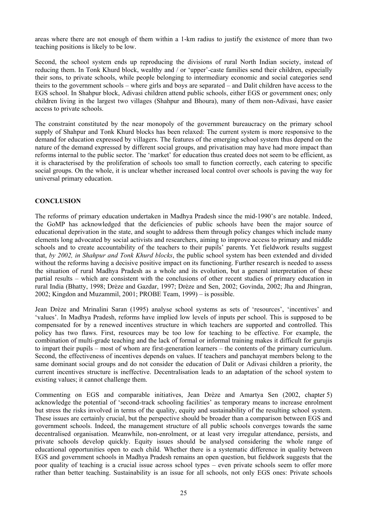areas where there are not enough of them within a 1-km radius to justify the existence of more than two teaching positions is likely to be low.

Second, the school system ends up reproducing the divisions of rural North Indian society, instead of reducing them. In Tonk Khurd block, wealthy and / or 'upper'-caste families send their children, especially their sons, to private schools, while people belonging to intermediary economic and social categories send theirs to the government schools – where girls and boys are separated – and Dalit children have access to the EGS school. In Shahpur block, Adivasi children attend public schools, either EGS or government ones; only children living in the largest two villages (Shahpur and Bhoura), many of them non-Adivasi, have easier access to private schools.

The constraint constituted by the near monopoly of the government bureaucracy on the primary school supply of Shahpur and Tonk Khurd blocks has been relaxed: The current system is more responsive to the demand for education expressed by villagers. The features of the emerging school system thus depend on the nature of the demand expressed by different social groups, and privatisation may have had more impact than reforms internal to the public sector. The 'market' for education thus created does not seem to be efficient, as it is characterised by the proliferation of schools too small to function correctly, each catering to specific social groups. On the whole, it is unclear whether increased local control over schools is paving the way for universal primary education.

#### **CONCLUSION**

The reforms of primary education undertaken in Madhya Pradesh since the mid-1990's are notable. Indeed, the GoMP has acknowledged that the deficiencies of public schools have been the major source of educational deprivation in the state, and sought to address them through policy changes which include many elements long advocated by social activists and researchers, aiming to improve access to primary and middle schools and to create accountability of the teachers to their pupils' parents. Yet fieldwork results suggest that, *by 2002, in Shahpur and Tonk Khurd blocks*, the public school system has been extended and divided without the reforms having a decisive positive impact on its functioning. Further research is needed to assess the situation of rural Madhya Pradesh as a whole and its evolution, but a general interpretation of these partial results – which are consistent with the conclusions of other recent studies of primary education in rural India (Bhatty, 1998; Drèze and Gazdar, 1997; Drèze and Sen, 2002; Govinda, 2002; Jha and Jhingran, 2002; Kingdon and Muzammil, 2001; PROBE Team, 1999) – is possible.

Jean Drèze and Mrinalini Saran (1995) analyse school systems as sets of 'resources', 'incentives' and 'values'. In Madhya Pradesh, reforms have implied low levels of inputs per school. This is supposed to be compensated for by a renewed incentives structure in which teachers are supported and controlled. This policy has two flaws. First, resources may be too low for teaching to be effective. For example, the combination of multi-grade teaching and the lack of formal or informal training makes it difficult for gurujis to impart their pupils – most of whom are first-generation learners – the contents of the primary curriculum. Second, the effectiveness of incentives depends on values. If teachers and panchayat members belong to the same dominant social groups and do not consider the education of Dalit or Adivasi children a priority, the current incentives structure is ineffective. Decentralisation leads to an adaptation of the school system to existing values; it cannot challenge them.

Commenting on EGS and comparable initiatives, Jean Drèze and Amartya Sen (2002, chapter 5) acknowledge the potential of 'second-track schooling facilities' as temporary means to increase enrolment but stress the risks involved in terms of the quality, equity and sustainability of the resulting school system. These issues are certainly crucial, but the perspective should be broader than a comparison between EGS and government schools. Indeed, the management structure of all public schools converges towards the same decentralised organisation. Meanwhile, non-enrolment, or at least very irregular attendance, persists, and private schools develop quickly. Equity issues should be analysed considering the whole range of educational opportunities open to each child. Whether there is a systematic difference in quality between EGS and government schools in Madhya Pradesh remains an open question, but fieldwork suggests that the poor quality of teaching is a crucial issue across school types – even private schools seem to offer more rather than better teaching. Sustainability is an issue for all schools, not only EGS ones: Private schools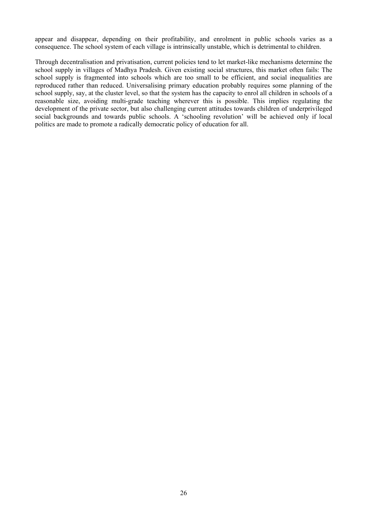appear and disappear, depending on their profitability, and enrolment in public schools varies as a consequence. The school system of each village is intrinsically unstable, which is detrimental to children.

Through decentralisation and privatisation, current policies tend to let market-like mechanisms determine the school supply in villages of Madhya Pradesh. Given existing social structures, this market often fails: The school supply is fragmented into schools which are too small to be efficient, and social inequalities are reproduced rather than reduced. Universalising primary education probably requires some planning of the school supply, say, at the cluster level, so that the system has the capacity to enrol all children in schools of a reasonable size, avoiding multi-grade teaching wherever this is possible. This implies regulating the development of the private sector, but also challenging current attitudes towards children of underprivileged social backgrounds and towards public schools. A 'schooling revolution' will be achieved only if local politics are made to promote a radically democratic policy of education for all.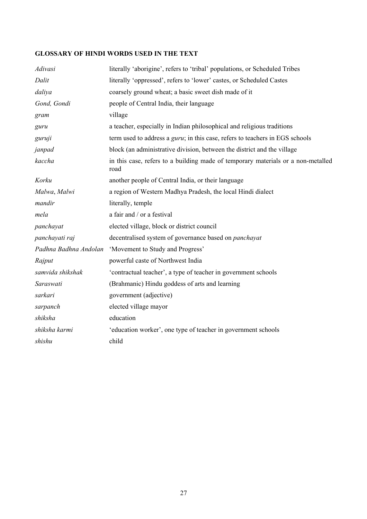# **GLOSSARY OF HINDI WORDS USED IN THE TEXT**

| Adivasi               | literally 'aborigine', refers to 'tribal' populations, or Scheduled Tribes               |
|-----------------------|------------------------------------------------------------------------------------------|
| Dalit                 | literally 'oppressed', refers to 'lower' castes, or Scheduled Castes                     |
| daliya                | coarsely ground wheat; a basic sweet dish made of it                                     |
| Gond, Gondi           | people of Central India, their language                                                  |
| gram                  | village                                                                                  |
| guru                  | a teacher, especially in Indian philosophical and religious traditions                   |
| guruji                | term used to address a <i>guru</i> ; in this case, refers to teachers in EGS schools     |
| janpad                | block (an administrative division, between the district and the village                  |
| kaccha                | in this case, refers to a building made of temporary materials or a non-metalled<br>road |
| Korku                 | another people of Central India, or their language                                       |
| Malwa, Malwi          | a region of Western Madhya Pradesh, the local Hindi dialect                              |
| mandir                | literally, temple                                                                        |
| mela                  | a fair and / or a festival                                                               |
| panchayat             | elected village, block or district council                                               |
| panchayati raj        | decentralised system of governance based on <i>panchayat</i>                             |
| Padhna Badhna Andolan | 'Movement to Study and Progress'                                                         |
| Rajput                | powerful caste of Northwest India                                                        |
| samvida shikshak      | 'contractual teacher', a type of teacher in government schools                           |
| Saraswati             | (Brahmanic) Hindu goddess of arts and learning                                           |
| sarkari               | government (adjective)                                                                   |
| sarpanch              | elected village mayor                                                                    |
| shiksha               | education                                                                                |
| shiksha karmi         | 'education worker', one type of teacher in government schools                            |
| shishu                | child                                                                                    |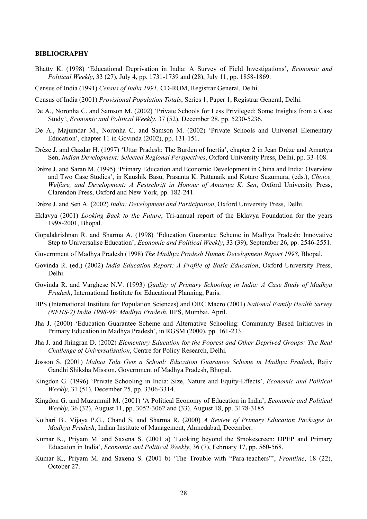#### **BIBLIOGRAPHY**

- Bhatty K. (1998) 'Educational Deprivation in India: A Survey of Field Investigations', *Economic and Political Weekly*, 33 (27), July 4, pp. 1731-1739 and (28), July 11, pp. 1858-1869.
- Census of India (1991) *Census of India 1991*, CD-ROM, Registrar General, Delhi.
- Census of India (2001) *Provisional Population Totals*, Series 1, Paper 1, Registrar General, Delhi.
- De A., Noronha C. and Samson M. (2002) 'Private Schools for Less Privileged: Some Insights from a Case Study', *Economic and Political Weekly*, 37 (52), December 28, pp. 5230-5236.
- De A., Majumdar M., Noronha C. and Samson M. (2002) 'Private Schools and Universal Elementary Education', chapter 11 in Govinda (2002), pp. 131-151.
- Drèze J. and Gazdar H. (1997) 'Uttar Pradesh: The Burden of Inertia', chapter 2 in Jean Drèze and Amartya Sen, *Indian Development: Selected Regional Perspectives*, Oxford University Press, Delhi, pp. 33-108.
- Drèze J. and Saran M. (1995) 'Primary Education and Economic Development in China and India: Overview and Two Case Studies', in Kaushik Basu, Prasanta K. Pattanaik and Kotaro Suzumura, (eds.), *Choice, Welfare, and Development: A Festschrift in Honour of Amartya K. Sen*, Oxford University Press, Clarendon Press, Oxford and New York, pp. 182-241.
- Drèze J. and Sen A. (2002) *India: Development and Participation*, Oxford University Press, Delhi.
- Eklavya (2001) *Looking Back to the Future*, Tri-annual report of the Eklavya Foundation for the years 1998-2001, Bhopal.
- Gopalakrishnan R. and Sharma A. (1998) 'Education Guarantee Scheme in Madhya Pradesh: Innovative Step to Universalise Education', *Economic and Political Weekly*, 33 (39), September 26, pp. 2546-2551.
- Government of Madhya Pradesh (1998) *The Madhya Pradesh Human Development Report 1998*, Bhopal.
- Govinda R. (ed.) (2002) *India Education Report: A Profile of Basic Education*, Oxford University Press, Delhi.
- Govinda R. and Varghese N.V. (1993) *Quality of Primary Schooling in India: A Case Study of Madhya Pradesh*, International Institute for Educational Planning, Paris.
- IIPS (International Institute for Population Sciences) and ORC Macro (2001) *National Family Health Survey (NFHS-2) India 1998-99: Madhya Pradesh*, IIPS, Mumbai, April.
- Jha J. (2000) 'Education Guarantee Scheme and Alternative Schooling: Community Based Initiatives in Primary Education in Madhya Pradesh', in RGSM (2000), pp. 161-233.
- Jha J. and Jhingran D. (2002) *Elementary Education for the Poorest and Other Deprived Groups: The Real Challenge of Universalisation*, Centre for Policy Research, Delhi.
- Josson S. (2001) *Mahua Tola Gets a School: Education Guarantee Scheme in Madhya Pradesh*, Rajiv Gandhi Shiksha Mission, Government of Madhya Pradesh, Bhopal.
- Kingdon G. (1996) 'Private Schooling in India: Size, Nature and Equity-Effects', *Economic and Political Weekly*, 31 (51), December 25, pp. 3306-3314.
- Kingdon G. and Muzammil M. (2001) 'A Political Economy of Education in India', *Economic and Political Weekly*, 36 (32), August 11, pp. 3052-3062 and (33), August 18, pp. 3178-3185.
- Kothari B., Vijaya P.G., Chand S. and Sharma R. (2000) *A Review of Primary Education Packages in Madhya Pradesh*, Indian Institute of Management, Ahmedabad, December.
- Kumar K., Priyam M. and Saxena S. (2001 a) 'Looking beyond the Smokescreen: DPEP and Primary Education in India', *Economic and Political Weekly*, 36 (7), February 17, pp. 560-568.
- Kumar K., Priyam M. and Saxena S. (2001 b) 'The Trouble with "Para-teachers"', *Frontline*, 18 (22), October 27.